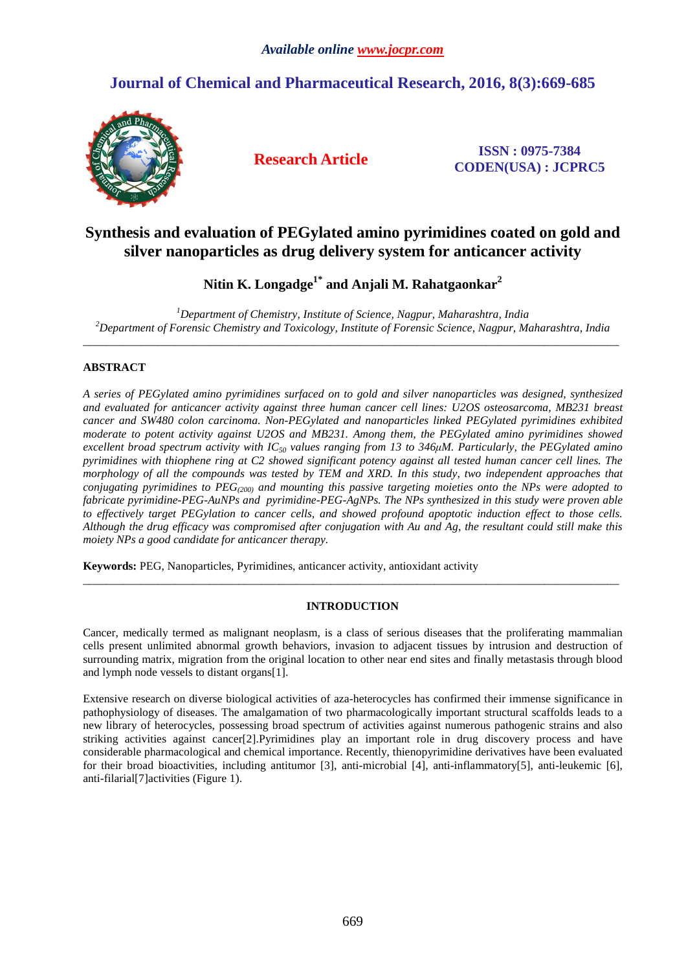# **Journal of Chemical and Pharmaceutical Research, 2016, 8(3):669-685**



**Research Article ISSN : 0975-7384 CODEN(USA) : JCPRC5**

# **Synthesis and evaluation of PEGylated amino pyrimidines coated on gold and silver nanoparticles as drug delivery system for anticancer activity**

**Nitin K. Longadge1\* and Anjali M. Rahatgaonkar<sup>2</sup>**

*<sup>1</sup>Department of Chemistry, Institute of Science, Nagpur, Maharashtra, India <sup>2</sup>Department of Forensic Chemistry and Toxicology, Institute of Forensic Science, Nagpur, Maharashtra, India*   $\overline{a}$  , and the contribution of the contribution of the contribution of the contribution of the contribution of the contribution of the contribution of the contribution of the contribution of the contribution of the co

# **ABSTRACT**

*A series of PEGylated amino pyrimidines surfaced on to gold and silver nanoparticles was designed, synthesized and evaluated for anticancer activity against three human cancer cell lines: U2OS osteosarcoma, MB231 breast cancer and SW480 colon carcinoma. Non-PEGylated and nanoparticles linked PEGylated pyrimidines exhibited moderate to potent activity against U2OS and MB231. Among them, the PEGylated amino pyrimidines showed excellent broad spectrum activity with IC50 values ranging from 13 to 346µM. Particularly, the PEGylated amino pyrimidines with thiophene ring at C2 showed significant potency against all tested human cancer cell lines. The morphology of all the compounds was tested by TEM and XRD. In this study, two independent approaches that conjugating pyrimidines to PEG(200) and mounting this passive targeting moieties onto the NPs were adopted to fabricate pyrimidine-PEG-AuNPs and pyrimidine-PEG-AgNPs. The NPs synthesized in this study were proven able to effectively target PEGylation to cancer cells, and showed profound apoptotic induction effect to those cells. Although the drug efficacy was compromised after conjugation with Au and Ag, the resultant could still make this moiety NPs a good candidate for anticancer therapy.*

**Keywords:** PEG, Nanoparticles, Pyrimidines, anticancer activity, antioxidant activity

## **INTRODUCTION**

\_\_\_\_\_\_\_\_\_\_\_\_\_\_\_\_\_\_\_\_\_\_\_\_\_\_\_\_\_\_\_\_\_\_\_\_\_\_\_\_\_\_\_\_\_\_\_\_\_\_\_\_\_\_\_\_\_\_\_\_\_\_\_\_\_\_\_\_\_\_\_\_\_\_\_\_\_\_\_\_\_\_\_\_\_\_\_\_\_\_\_\_\_

Cancer, medically termed as malignant neoplasm, is a class of serious diseases that the proliferating mammalian cells present unlimited abnormal growth behaviors, invasion to adjacent tissues by intrusion and destruction of surrounding matrix, migration from the original location to other near end sites and finally metastasis through blood and lymph node vessels to distant organs[1].

Extensive research on diverse biological activities of aza-heterocycles has confirmed their immense significance in pathophysiology of diseases. The amalgamation of two pharmacologically important structural scaffolds leads to a new library of heterocycles, possessing broad spectrum of activities against numerous pathogenic strains and also striking activities against cancer[2].Pyrimidines play an important role in drug discovery process and have considerable pharmacological and chemical importance. Recently, thienopyrimidine derivatives have been evaluated for their broad bioactivities, including antitumor [3], anti-microbial [4], anti-inflammatory[5], anti-leukemic [6], anti-filarial[7]activities (Figure 1).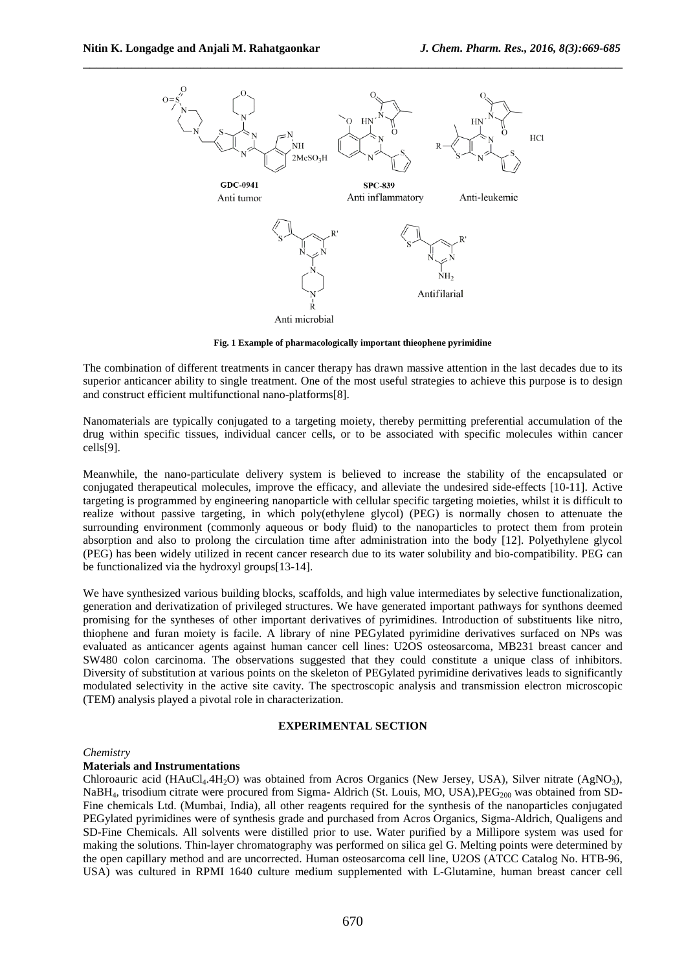

**Fig. 1 Example of pharmacologically important thieophene pyrimidine** 

The combination of different treatments in cancer therapy has drawn massive attention in the last decades due to its superior anticancer ability to single treatment. One of the most useful strategies to achieve this purpose is to design and construct efficient multifunctional nano-platforms[8].

Nanomaterials are typically conjugated to a targeting moiety, thereby permitting preferential accumulation of the drug within specific tissues, individual cancer cells, or to be associated with specific molecules within cancer cells[9].

Meanwhile, the nano-particulate delivery system is believed to increase the stability of the encapsulated or conjugated therapeutical molecules, improve the efficacy, and alleviate the undesired side-effects [10-11]. Active targeting is programmed by engineering nanoparticle with cellular specific targeting moieties, whilst it is difficult to realize without passive targeting, in which poly(ethylene glycol) (PEG) is normally chosen to attenuate the surrounding environment (commonly aqueous or body fluid) to the nanoparticles to protect them from protein absorption and also to prolong the circulation time after administration into the body [12]. Polyethylene glycol (PEG) has been widely utilized in recent cancer research due to its water solubility and bio-compatibility. PEG can be functionalized via the hydroxyl groups[13-14].

We have synthesized various building blocks, scaffolds, and high value intermediates by selective functionalization, generation and derivatization of privileged structures. We have generated important pathways for synthons deemed promising for the syntheses of other important derivatives of pyrimidines. Introduction of substituents like nitro, thiophene and furan moiety is facile. A library of nine PEGylated pyrimidine derivatives surfaced on NPs was evaluated as anticancer agents against human cancer cell lines: U2OS osteosarcoma, MB231 breast cancer and SW480 colon carcinoma. The observations suggested that they could constitute a unique class of inhibitors. Diversity of substitution at various points on the skeleton of PEGylated pyrimidine derivatives leads to significantly modulated selectivity in the active site cavity. The spectroscopic analysis and transmission electron microscopic (TEM) analysis played a pivotal role in characterization.

### **EXPERIMENTAL SECTION**

#### *Chemistry*

#### **Materials and Instrumentations**

Chloroauric acid (HAuCl<sub>4</sub>.4H<sub>2</sub>O) was obtained from Acros Organics (New Jersey, USA), Silver nitrate (AgNO<sub>3</sub>), NaBH<sub>4</sub>, trisodium citrate were procured from Sigma- Aldrich (St. Louis, MO, USA), $\text{PEG}_{200}$  was obtained from SD-Fine chemicals Ltd. (Mumbai, India), all other reagents required for the synthesis of the nanoparticles conjugated PEGylated pyrimidines were of synthesis grade and purchased from Acros Organics, Sigma-Aldrich, Qualigens and SD-Fine Chemicals. All solvents were distilled prior to use. Water purified by a Millipore system was used for making the solutions. Thin-layer chromatography was performed on silica gel G. Melting points were determined by the open capillary method and are uncorrected. Human osteosarcoma cell line, U2OS (ATCC Catalog No. HTB-96, USA) was cultured in RPMI 1640 culture medium supplemented with L-Glutamine, human breast cancer cell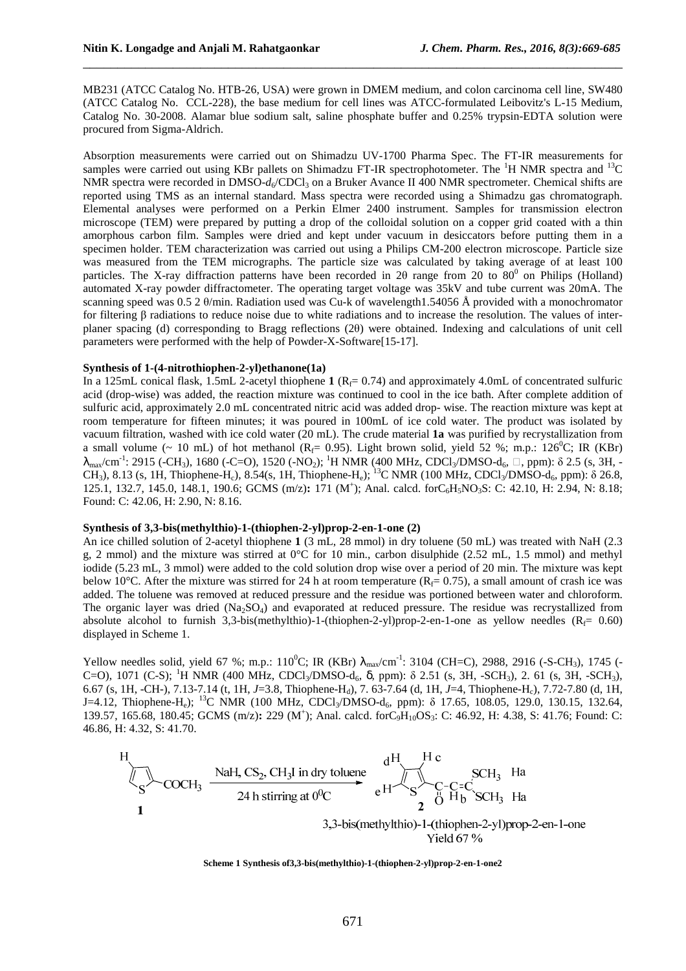MB231 (ATCC Catalog No. HTB-26, USA) were grown in DMEM medium, and colon carcinoma cell line, SW480 (ATCC Catalog No. CCL-228), the base medium for cell lines was ATCC-formulated Leibovitz's L-15 Medium, Catalog No. 30-2008. Alamar blue sodium salt, saline phosphate buffer and 0.25% trypsin-EDTA solution were procured from Sigma-Aldrich.

\_\_\_\_\_\_\_\_\_\_\_\_\_\_\_\_\_\_\_\_\_\_\_\_\_\_\_\_\_\_\_\_\_\_\_\_\_\_\_\_\_\_\_\_\_\_\_\_\_\_\_\_\_\_\_\_\_\_\_\_\_\_\_\_\_\_\_\_\_\_\_\_\_\_\_\_\_\_

Absorption measurements were carried out on Shimadzu UV-1700 Pharma Spec. The FT-IR measurements for samples were carried out using KBr pallets on Shimadzu FT-IR spectrophotometer. The  ${}^{1}H$  NMR spectra and  ${}^{13}C$ NMR spectra were recorded in DMSO- $d_6$ /CDCl<sub>3</sub> on a Bruker Avance II 400 NMR spectrometer. Chemical shifts are reported using TMS as an internal standard. Mass spectra were recorded using a Shimadzu gas chromatograph. Elemental analyses were performed on a Perkin Elmer 2400 instrument. Samples for transmission electron microscope (TEM) were prepared by putting a drop of the colloidal solution on a copper grid coated with a thin amorphous carbon film. Samples were dried and kept under vacuum in desiccators before putting them in a specimen holder. TEM characterization was carried out using a Philips CM-200 electron microscope. Particle size was measured from the TEM micrographs. The particle size was calculated by taking average of at least 100 particles. The X-ray diffraction patterns have been recorded in 20 range from 20 to  $80^{\circ}$  on Philips (Holland) automated X-ray powder diffractometer. The operating target voltage was 35kV and tube current was 20mA. The scanning speed was 0.5 2 θ/min. Radiation used was Cu-k of wavelength1.54056 Å provided with a monochromator for filtering β radiations to reduce noise due to white radiations and to increase the resolution. The values of interplaner spacing (d) corresponding to Bragg reflections (2θ) were obtained. Indexing and calculations of unit cell parameters were performed with the help of Powder-X-Software[15-17].

### **Synthesis of 1-(4-nitrothiophen-2-yl)ethanone(1a)**

In a 125mL conical flask, 1.5mL 2-acetyl thiophene **1** ( $R_f$ = 0.74) and approximately 4.0mL of concentrated sulfuric acid (drop-wise) was added, the reaction mixture was continued to cool in the ice bath. After complete addition of sulfuric acid, approximately 2.0 mL concentrated nitric acid was added drop- wise. The reaction mixture was kept at room temperature for fifteen minutes; it was poured in 100mL of ice cold water. The product was isolated by vacuum filtration, washed with ice cold water (20 mL). The crude material **1a** was purified by recrystallization from a small volume (~ 10 mL) of hot methanol ( $R_f$ = 0.95). Light brown solid, yield 52 %; m.p.: 126<sup>0</sup>C; IR (KBr)  $λ_{max}/cm^{-1}$ : 2915 (-CH<sub>3</sub>), 1680 (-C=O), 1520 (-NO<sub>2</sub>); <sup>1</sup>H NMR (400 MHz, CDCl<sub>3</sub>/DMSO-d<sub>6</sub>,  $\Box$ , ppm): δ 2.5 (s, 3H, -CH<sub>3</sub>), 8.13 (s, 1H, Thiophene-H<sub>c</sub>), 8.54(s, 1H, Thiophene-H<sub>e</sub>); <sup>13</sup>C NMR (100 MHz, CDCl<sub>3</sub>/DMSO-d<sub>6</sub>, ppm): δ 26.8, 125.1, 132.7, 145.0, 148.1, 190.6; GCMS (m/z): 171 (M<sup>+</sup>); Anal. calcd. forC<sub>6</sub>H<sub>5</sub>NO<sub>3</sub>S: C: 42.10, H: 2.94, N: 8.18; Found: C: 42.06, H: 2.90, N: 8.16.

### **Synthesis of 3,3-bis(methylthio)-1-(thiophen-2-yl)prop-2-en-1-one (2)**

An ice chilled solution of 2-acetyl thiophene **1** (3 mL, 28 mmol) in dry toluene (50 mL) was treated with NaH (2.3 g, 2 mmol) and the mixture was stirred at  $0^{\circ}$ C for 10 min., carbon disulphide (2.52 mL, 1.5 mmol) and methyl iodide (5.23 mL, 3 mmol) were added to the cold solution drop wise over a period of 20 min. The mixture was kept below 10°C. After the mixture was stirred for 24 h at room temperature ( $R_f = 0.75$ ), a small amount of crash ice was added. The toluene was removed at reduced pressure and the residue was portioned between water and chloroform. The organic layer was dried  $(Na_2SO_4)$  and evaporated at reduced pressure. The residue was recrystallized from absolute alcohol to furnish 3,3-bis(methylthio)-1-(thiophen-2-yl)prop-2-en-1-one as yellow needles ( $R_f= 0.60$ ) displayed in Scheme 1.

Yellow needles solid, yield 67 %; m.p.:  $110^0C$ ; IR (KBr)  $\lambda_{\text{max}}/\text{cm}^{-1}$ : 3104 (CH=C), 2988, 2916 (-S-CH<sub>3</sub>), 1745 (-C=O), 1071 (C-S); <sup>1</sup>H NMR (400 MHz, CDCl<sub>3</sub>/DMSO-d<sub>6</sub>,  $\delta$ , ppm):  $\delta$  2.51 (s, 3H, -SCH<sub>3</sub>), 2. 61 (s, 3H, -SCH<sub>3</sub>), 6.67 (s, 1H, -CH-), 7.13-7.14 (t, 1H, *J*=3.8, Thiophene-H<sub>d</sub>), 7. 63-7.64 (d, 1H, *J*=4, Thiophene-H<sub>c</sub>), 7.72-7.80 (d, 1H, J=4.12, Thiophene-H<sub>e</sub>); <sup>13</sup>C NMR (100 MHz, CDCl<sub>3</sub>/DMSO-d<sub>6</sub>, ppm): δ 17.65, 108.05, 129.0, 130.15, 132.64, 139.57, 165.68, 180.45; GCMS (m/z): 229 (M<sup>+</sup>); Anal. calcd. forC<sub>9</sub>H<sub>10</sub>OS<sub>3</sub>: C: 46.92, H: 4.38, S: 41.76; Found: C: 46.86, H: 4.32, S: 41.70.

H  
\n
$$
^{dH}C
$$
 SCH<sub>3</sub> Ha  
\n $^{eH}C$  SCH<sub>3</sub> Ha  
\nC- $C-C$   
\nC-H<sub>3</sub> G-H<sub>4</sub> H<sub>2</sub> SCH<sub>3</sub> Ha  
\nC-C-C-C  
\n $^{eH}C$  SCH<sub>3</sub> Ha  
\nC-C-C  
\n $^{eH}C$  SCH<sub>3</sub> Ha  
\nC-H<sub>4</sub> SCH<sub>3</sub> Ha  
\nC-C-C  
\n $^{eH}C$  SCH<sub>3</sub> Ha  
\n $^{eH}C$  SCH<sub>3</sub> Ha  
\n $^{eH}C$  SCH<sub>4</sub> Ha  
\n $^{eH}C$  SCH<sub>3</sub> Ha  
\n $^{eH}C$  SCH<sub>3</sub> Ha  
\n $^{eH}C$  SCH<sub>4</sub> Ha  
\n $^{eH}C$  SCH<sub>3</sub> Ha

**Scheme 1 Synthesis of3,3-bis(methylthio)-1-(thiophen-2-yl)prop-2-en-1-one2**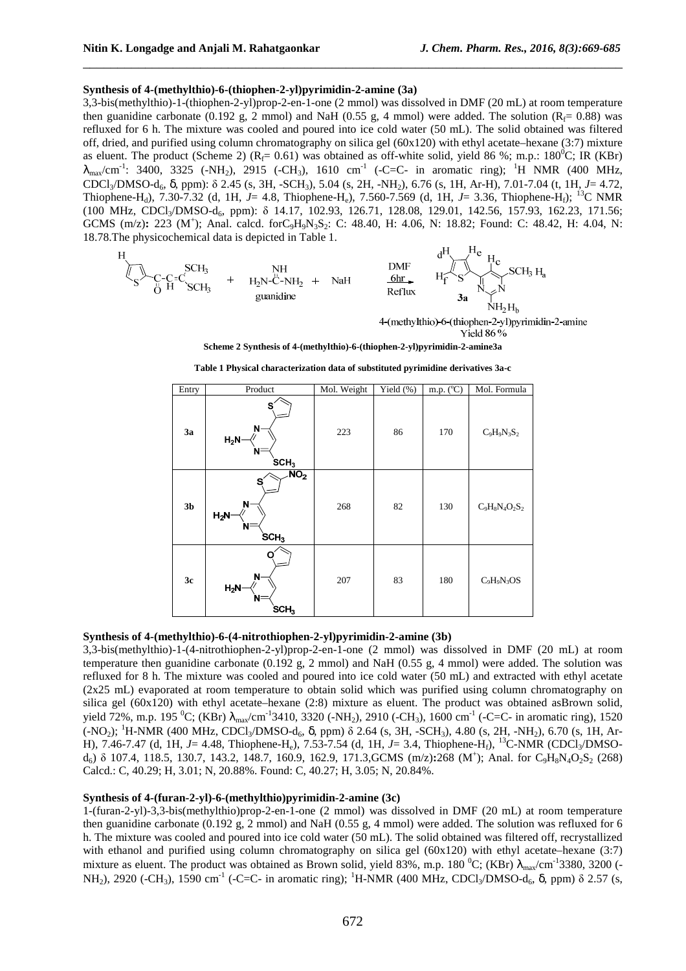### **Synthesis of 4-(methylthio)-6-(thiophen-2-yl)pyrimidin-2-amine (3a)**

3,3-bis(methylthio)-1-(thiophen-2-yl)prop-2-en-1-one (2 mmol) was dissolved in DMF (20 mL) at room temperature then guanidine carbonate (0.192 g, 2 mmol) and NaH (0.55 g, 4 mmol) were added. The solution ( $R_f = 0.88$ ) was refluxed for 6 h. The mixture was cooled and poured into ice cold water (50 mL). The solid obtained was filtered off, dried, and purified using column chromatography on silica gel  $(60x120)$  with ethyl acetate–hexane  $(3:7)$  mixture as eluent. The product (Scheme 2) ( $R_f$ = 0.61) was obtained as off-white solid, yield 86 %; m.p.: 180<sup>0</sup>C; IR (KBr)  $\lambda_{\text{max}}/\text{cm}^{-1}$ : 3400, 3325 (-NH<sub>2</sub>), 2915 (-CH<sub>3</sub>), 1610 cm<sup>-1</sup> (-C=C- in aromatic ring); <sup>1</sup>H NMR (400 MHz, CDCl3/DMSO-d6, δ, ppm): δ 2.45 (s, 3H, -SCH3), 5.04 (s, 2H, -NH2), 6.76 (s, 1H, Ar-H), 7.01-7.04 (t, 1H, *J*= 4.72, Thiophene-H<sub>d</sub>), 7.30-7.32 (d, 1H, *J*= 4.8, Thiophene-H<sub>e</sub>), 7.560-7.569 (d, 1H, *J*= 3.36, Thiophene-H<sub>e</sub>); <sup>13</sup>C NMR (100 MHz, CDCl3/DMSO-d6, ppm): δ 14.17, 102.93, 126.71, 128.08, 129.01, 142.56, 157.93, 162.23, 171.56; GCMS (m/z): 223 (M<sup>+</sup>); Anal. calcd. forC<sub>9</sub>H<sub>9</sub>N<sub>3</sub>S<sub>2</sub>: C: 48.40, H: 4.06, N: 18.82; Found: C: 48.42, H: 4.04, N: 18.78.The physicochemical data is depicted in Table 1.

\_\_\_\_\_\_\_\_\_\_\_\_\_\_\_\_\_\_\_\_\_\_\_\_\_\_\_\_\_\_\_\_\_\_\_\_\_\_\_\_\_\_\_\_\_\_\_\_\_\_\_\_\_\_\_\_\_\_\_\_\_\_\_\_\_\_\_\_\_\_\_\_\_\_\_\_\_\_



4-(methylthio)-6-(thiophen-2-yl)pyrimidin-2-amine **Yield 86%** 

**Scheme 2 Synthesis of 4-(methylthio)-6-(thiophen-2-yl)pyrimidin-2-amine3a** 

**Table 1 Physical characterization data of substituted pyrimidine derivatives 3a-c** 

| Entry          | Product                                                          | Mol. Weight | Yield (%) | m.p. $(^{\circ}C)$ | Mol. Formula        |
|----------------|------------------------------------------------------------------|-------------|-----------|--------------------|---------------------|
| 3a             | s<br>N<br>$H_2N$<br>$N =$<br>SCH <sub>3</sub>                    | 223         | 86        | 170                | $\rm{C_9H_9N_3S_2}$ |
| 3 <sub>b</sub> | NO <sub>2</sub><br>s<br>N<br>$H_2N$<br>$N =$<br>SCH <sub>3</sub> | 268         | 82        | 130                | $C_9H_8N_4O_2S_2$   |
| 3c             | n<br>N<br>$H_2N$<br>$N =$<br>SCH <sub>3</sub>                    | 207         | 83        | 180                | $C_9H_9N_3OS$       |

### **Synthesis of 4-(methylthio)-6-(4-nitrothiophen-2-yl)pyrimidin-2-amine (3b)**

3,3-bis(methylthio)-1-(4-nitrothiophen-2-yl)prop-2-en-1-one (2 mmol) was dissolved in DMF (20 mL) at room temperature then guanidine carbonate (0.192 g, 2 mmol) and NaH (0.55 g, 4 mmol) were added. The solution was refluxed for 8 h. The mixture was cooled and poured into ice cold water (50 mL) and extracted with ethyl acetate (2x25 mL) evaporated at room temperature to obtain solid which was purified using column chromatography on silica gel (60x120) with ethyl acetate–hexane (2:8) mixture as eluent. The product was obtained asBrown solid, yield 72%, m.p. 195 <sup>0</sup>C; (KBr)  $\lambda_{\text{max}}/\text{cm}^{-1}3410$ , 3320 (-NH<sub>2</sub>), 2910 (-CH<sub>3</sub>), 1600 cm<sup>-1</sup> (-C=C- in aromatic ring), 1520  $(-NO<sub>2</sub>)$ ; <sup>1</sup>H-NMR (400 MHz, CDCl<sub>3</sub>/DMSO-d<sub>6</sub>, δ, ppm) δ 2.64 (s, 3H, -SCH<sub>3</sub>), 4.80 (s, 2H, -NH<sub>2</sub>), 6.70 (s, 1H, Ar-H), 7.46-7.47 (d, 1H, *J*= 4.48, Thiophene-H<sub>e</sub>), 7.53-7.54 (d, 1H, *J*= 3.4, Thiophene-H<sub>f</sub>), <sup>13</sup>C-NMR (CDCl<sub>3</sub>/DMSO $d_6$ ) δ 107.4, 118.5, 130.7, 143.2, 148.7, 160.9, 162.9, 171.3, GCMS (m/z)**:**268 (M<sup>+</sup>); Anal. for C<sub>9</sub>H<sub>8</sub>N<sub>4</sub>O<sub>2</sub>S<sub>2</sub> (268) Calcd.: C, 40.29; H, 3.01; N, 20.88%. Found: C, 40.27; H, 3.05; N, 20.84%.

### **Synthesis of 4-(furan-2-yl)-6-(methylthio)pyrimidin-2-amine (3c)**

1-(furan-2-yl)-3,3-bis(methylthio)prop-2-en-1-one (2 mmol) was dissolved in DMF (20 mL) at room temperature then guanidine carbonate (0.192 g, 2 mmol) and NaH (0.55 g, 4 mmol) were added. The solution was refluxed for 6 h. The mixture was cooled and poured into ice cold water (50 mL). The solid obtained was filtered off, recrystallized with ethanol and purified using column chromatography on silica gel (60x120) with ethyl acetate–hexane (3:7) mixture as eluent. The product was obtained as Brown solid, yield 83%, m.p. 180  $^0C$ ; (KBr)  $\lambda_{\text{max}}/\text{cm}^{-1}$ 3380, 3200 (-NH<sub>2</sub>), 2920 (-CH<sub>3</sub>), 1590 cm<sup>-1</sup> (-C=C- in aromatic ring); <sup>1</sup>H-NMR (400 MHz, CDCl<sub>3</sub>/DMSO-d<sub>6</sub>, δ, ppm) δ 2.57 (s,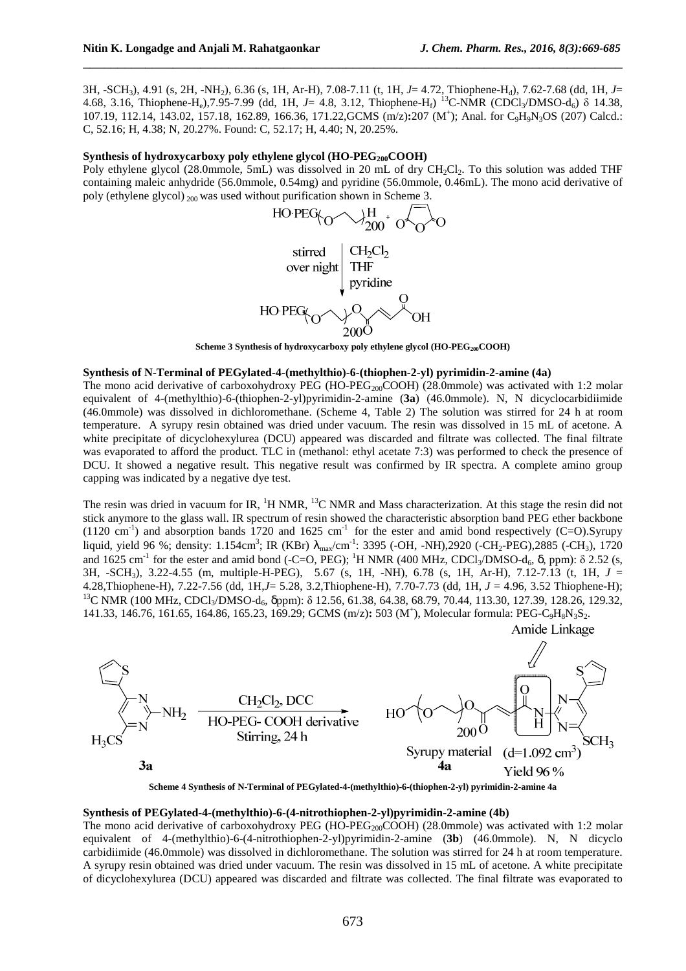Amide Linkage

3H, -SCH3), 4.91 (s, 2H, -NH2), 6.36 (s, 1H, Ar-H), 7.08-7.11 (t, 1H, *J*= 4.72, Thiophene-Hd), 7.62-7.68 (dd, 1H, *J*= 4.68, 3.16, Thiophene-H<sub>e</sub>),7.95-7.99 (dd, 1H, *J*= 4.8, 3.12, Thiophene-H<sub>f</sub>) <sup>13</sup>C-NMR (CDCl<sub>3</sub>/DMSO-d<sub>6</sub>) δ 14.38, 107.19, 112.14, 143.02, 157.18, 162.89, 166.36, 171.22,GCMS (m/z)**:**207 (M<sup>+</sup> ); Anal. for C9H9N3OS (207) Calcd.: C, 52.16; H, 4.38; N, 20.27%. Found: C, 52.17; H, 4.40; N, 20.25%.

\_\_\_\_\_\_\_\_\_\_\_\_\_\_\_\_\_\_\_\_\_\_\_\_\_\_\_\_\_\_\_\_\_\_\_\_\_\_\_\_\_\_\_\_\_\_\_\_\_\_\_\_\_\_\_\_\_\_\_\_\_\_\_\_\_\_\_\_\_\_\_\_\_\_\_\_\_\_

### Synthesis of hydroxycarboxy poly ethylene glycol (HO-PEG<sub>200</sub>COOH)

Poly ethylene glycol (28.0mmole, 5mL) was dissolved in 20 mL of dry CH<sub>2</sub>Cl<sub>2</sub>. To this solution was added THF containing maleic anhydride (56.0mmole, 0.54mg) and pyridine (56.0mmole, 0.46mL). The mono acid derivative of poly (ethylene glycol) 200 was used without purification shown in Scheme 3.



**Scheme 3 Synthesis of hydroxycarboxy poly ethylene glycol (HO-PEG200COOH)** 

### **Synthesis of N-Terminal of PEGylated-4-(methylthio)-6-(thiophen-2-yl) pyrimidin-2-amine (4a)**

The mono acid derivative of carboxohydroxy PEG (HO-PEG<sub>200</sub>COOH) (28.0mmole) was activated with 1:2 molar equivalent of 4-(methylthio)-6-(thiophen-2-yl)pyrimidin-2-amine (**3a**) (46.0mmole). N, N dicyclocarbidiimide (46.0mmole) was dissolved in dichloromethane. (Scheme 4, Table 2) The solution was stirred for 24 h at room temperature. A syrupy resin obtained was dried under vacuum. The resin was dissolved in 15 mL of acetone. A white precipitate of dicyclohexylurea (DCU) appeared was discarded and filtrate was collected. The final filtrate was evaporated to afford the product. TLC in (methanol: ethyl acetate 7:3) was performed to check the presence of DCU. It showed a negative result. This negative result was confirmed by IR spectra. A complete amino group capping was indicated by a negative dye test.

The resin was dried in vacuum for IR,  ${}^{1}H$  NMR,  ${}^{13}C$  NMR and Mass characterization. At this stage the resin did not stick anymore to the glass wall. IR spectrum of resin showed the characteristic absorption band PEG ether backbone (1120 cm<sup>-1</sup>) and absorption bands 1720 and 1625 cm<sup>-1</sup> for the ester and amid bond respectively (C=O).Syrupy liquid, yield 96 %; density: 1.154cm<sup>3</sup>; IR (KBr)  $\lambda_{max}/cm^{-1}$ : 3395 (-OH, -NH),2920 (-CH<sub>2</sub>-PEG),2885 (-CH<sub>3</sub>), 1720 and 1625 cm<sup>-1</sup> for the ester and amid bond (-C=O, PEG); <sup>1</sup>H NMR (400 MHz, CDCl<sub>3</sub>/DMSO-d<sub>6</sub>, δ, ppm): δ 2.52 (s, 3H, -SCH3), 3.22-4.55 (m, multiple-H-PEG), 5.67 (s, 1H, -NH), 6.78 (s, 1H, Ar-H), 7.12-7.13 (t, 1H, *J* = 4.28,Thiophene-H), 7.22-7.56 (dd, 1H,*J*= 5.28, 3.2,Thiophene-H), 7.70-7.73 (dd, 1H, *J* = 4.96, 3.52 Thiophene-H); <sup>13</sup>C NMR (100 MHz, CDCl<sub>3</sub>/DMSO-d<sub>6</sub>, δppm): δ 12.56, 61.38, 64.38, 68.79, 70.44, 113.30, 127.39, 128.26, 129.32, 141.33, 146.76, 161.65, 164.86, 165.23, 169.29; GCMS (m/z): 503 (M<sup>+</sup>), Molecular formula: PEG-C<sub>9</sub>H<sub>8</sub>N<sub>3</sub>S<sub>2</sub>.



**Scheme 4 Synthesis of N-Terminal of PEGylated-4-(methylthio)-6-(thiophen-2-yl) pyrimidin-2-amine 4a** 

### **Synthesis of PEGylated-4-(methylthio)-6-(4-nitrothiophen-2-yl)pyrimidin-2-amine (4b)**

The mono acid derivative of carboxohydroxy PEG (HO-PEG<sub>200</sub>COOH) (28.0mmole) was activated with 1:2 molar equivalent of 4-(methylthio)-6-(4-nitrothiophen-2-yl)pyrimidin-2-amine (**3b**) (46.0mmole). N, N dicyclo carbidiimide (46.0mmole) was dissolved in dichloromethane. The solution was stirred for 24 h at room temperature. A syrupy resin obtained was dried under vacuum. The resin was dissolved in 15 mL of acetone. A white precipitate of dicyclohexylurea (DCU) appeared was discarded and filtrate was collected. The final filtrate was evaporated to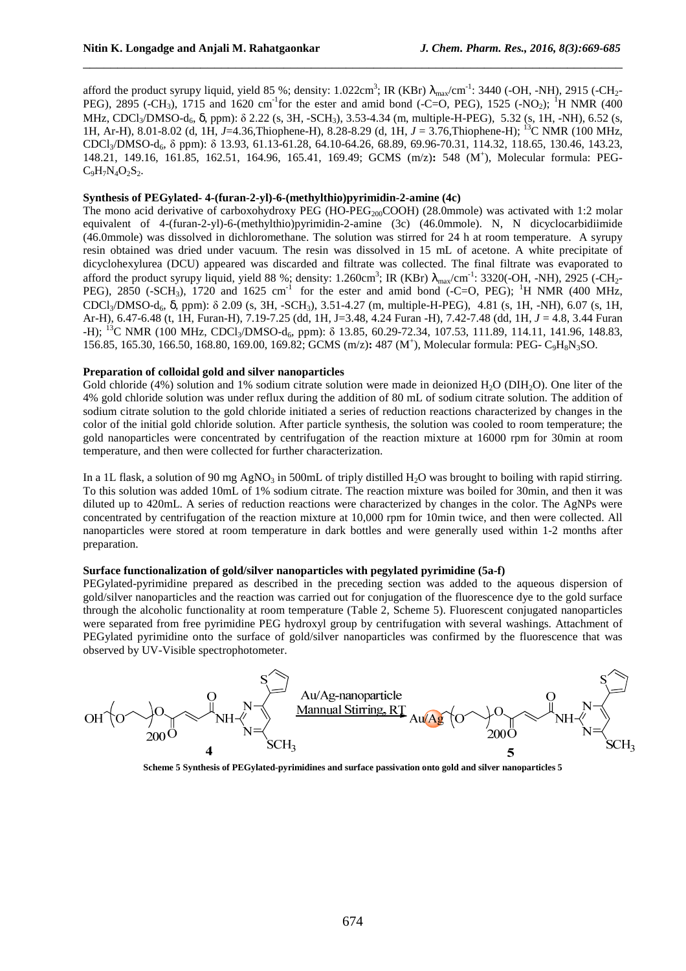afford the product syrupy liquid, yield 85 %; density: 1.022cm<sup>3</sup>; IR (KBr)  $\lambda_{\text{max}}/\text{cm}^{-1}$ : 3440 (-OH, -NH), 2915 (-CH<sub>2</sub>-PEG), 2895 (-CH<sub>3</sub>), 1715 and 1620 cm<sup>-1</sup>for the ester and amid bond (-C=O, PEG), 1525 (-NO<sub>2</sub>); <sup>1</sup>H NMR (400 MHz, CDCl<sub>3</sub>/DMSO-d<sub>6</sub>, δ, ppm): δ 2.22 (s, 3H, -SCH<sub>3</sub>), 3.53-4.34 (m, multiple-H-PEG), 5.32 (s, 1H, -NH), 6.52 (s, 1H, Ar-H), 8.01-8.02 (d, 1H, *J*=4.36,Thiophene-H), 8.28-8.29 (d, 1H, *J* = 3.76,Thiophene-H); <sup>13</sup>C NMR (100 MHz, CDCl3/DMSO-d6, δ ppm): δ 13.93, 61.13-61.28, 64.10-64.26, 68.89, 69.96-70.31, 114.32, 118.65, 130.46, 143.23, 148.21, 149.16, 161.85, 162.51, 164.96, 165.41, 169.49; GCMS (m/z)**:** 548 (M<sup>+</sup> ), Molecular formula: PEG- $C_9H_7N_4O_2S_2.$ 

\_\_\_\_\_\_\_\_\_\_\_\_\_\_\_\_\_\_\_\_\_\_\_\_\_\_\_\_\_\_\_\_\_\_\_\_\_\_\_\_\_\_\_\_\_\_\_\_\_\_\_\_\_\_\_\_\_\_\_\_\_\_\_\_\_\_\_\_\_\_\_\_\_\_\_\_\_\_

### **Synthesis of PEGylated- 4-(furan-2-yl)-6-(methylthio)pyrimidin-2-amine (4c)**

The mono acid derivative of carboxohydroxy PEG (HO-PEG<sub>200</sub>COOH) (28.0mmole) was activated with 1:2 molar equivalent of 4-(furan-2-yl)-6-(methylthio)pyrimidin-2-amine (3c) (46.0mmole). N, N dicyclocarbidiimide (46.0mmole) was dissolved in dichloromethane. The solution was stirred for 24 h at room temperature. A syrupy resin obtained was dried under vacuum. The resin was dissolved in 15 mL of acetone. A white precipitate of dicyclohexylurea (DCU) appeared was discarded and filtrate was collected. The final filtrate was evaporated to afford the product syrupy liquid, yield 88 %; density: 1.260cm<sup>3</sup>; IR (KBr)  $\lambda_{max}/cm^{-1}$ : 3320(-OH, -NH), 2925 (-CH<sub>2</sub>-PEG), 2850 (-SCH<sub>3</sub>), 1720 and 1625 cm<sup>-1</sup> for the ester and amid bond (-C=O, PEG); <sup>1</sup>H NMR (400 MHz, CDCl3/DMSO-d6, δ, ppm): δ 2.09 (s, 3H, -SCH3), 3.51-4.27 (m, multiple-H-PEG), 4.81 (s, 1H, -NH), 6.07 (s, 1H, Ar-H), 6.47-6.48 (t, 1H, Furan-H), 7.19-7.25 (dd, 1H, J=3.48, 4.24 Furan -H), 7.42-7.48 (dd, 1H, *J* = 4.8, 3.44 Furan -H); <sup>13</sup>C NMR (100 MHz, CDCl<sub>3</sub>/DMSO-d<sub>6</sub>, ppm): δ 13.85, 60.29-72.34, 107.53, 111.89, 114.11, 141.96, 148.83, 156.85, 165.30, 166.50, 168.80, 169.00, 169.82; GCMS (m/z)**:** 487 (M<sup>+</sup> ), Molecular formula: PEG- C9H8N3SO.

### **Preparation of colloidal gold and silver nanoparticles**

Gold chloride (4%) solution and 1% sodium citrate solution were made in deionized  $H_2O$  (DIH<sub>2</sub>O). One liter of the 4% gold chloride solution was under reflux during the addition of 80 mL of sodium citrate solution. The addition of sodium citrate solution to the gold chloride initiated a series of reduction reactions characterized by changes in the color of the initial gold chloride solution. After particle synthesis, the solution was cooled to room temperature; the gold nanoparticles were concentrated by centrifugation of the reaction mixture at 16000 rpm for 30min at room temperature, and then were collected for further characterization.

In a 1L flask, a solution of 90 mg AgNO<sub>3</sub> in 500mL of triply distilled H<sub>2</sub>O was brought to boiling with rapid stirring. To this solution was added 10mL of 1% sodium citrate. The reaction mixture was boiled for 30min, and then it was diluted up to 420mL. A series of reduction reactions were characterized by changes in the color. The AgNPs were concentrated by centrifugation of the reaction mixture at 10,000 rpm for 10min twice, and then were collected. All nanoparticles were stored at room temperature in dark bottles and were generally used within 1-2 months after preparation.

### **Surface functionalization of gold/silver nanoparticles with pegylated pyrimidine (5a-f)**

PEGylated-pyrimidine prepared as described in the preceding section was added to the aqueous dispersion of gold/silver nanoparticles and the reaction was carried out for conjugation of the fluorescence dye to the gold surface through the alcoholic functionality at room temperature (Table 2, Scheme 5). Fluorescent conjugated nanoparticles were separated from free pyrimidine PEG hydroxyl group by centrifugation with several washings. Attachment of PEGylated pyrimidine onto the surface of gold/silver nanoparticles was confirmed by the fluorescence that was observed by UV-Visible spectrophotometer.



**Scheme 5 Synthesis of PEGylated-pyrimidines and surface passivation onto gold and silver nanoparticles 5**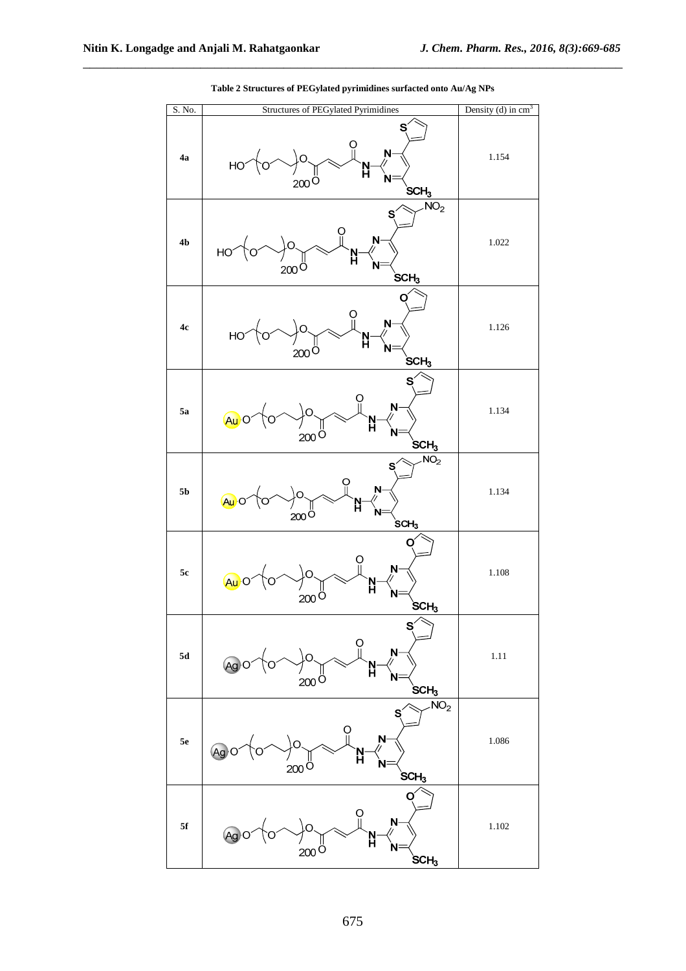| S. No.         | <b>Structures of PEGylated Pyrimidines</b>                                                                                                                                                                                                                                                                                                                                                                                                                  | Density (d) in $cm3$ |
|----------------|-------------------------------------------------------------------------------------------------------------------------------------------------------------------------------------------------------------------------------------------------------------------------------------------------------------------------------------------------------------------------------------------------------------------------------------------------------------|----------------------|
| 4a             | S<br>$N-$<br>$H_0 \rightarrow 0 \rightarrow 0$<br>$200$ <sup>Ö</sup><br>$\overleftarrow{\text{SCH}_3}$                                                                                                                                                                                                                                                                                                                                                      | 1.154                |
| 4 <sub>b</sub> | NO <sub>2</sub><br>S<br>$\mathsf{N}$<br>$H_0 \sim 10^{-10}$<br>N<br>H<br>N<br>$200^{\circ}$<br>$SCH_3$                                                                                                                                                                                                                                                                                                                                                      | 1.022                |
| 4c             | ပူ<br>$N-$<br>HO <sup>2</sup><br>N<br>H<br>$200$ <sup>Ö</sup><br>SCH <sub>3</sub>                                                                                                                                                                                                                                                                                                                                                                           | 1.126                |
| 5a             | $N -$<br>)o.<br>$A\cup B$<br>N<br>H<br>Ń<br>$200$ Ö<br>$SCH_3$                                                                                                                                                                                                                                                                                                                                                                                              | 1.134                |
| 5 <sub>b</sub> | $\overline{\text{NO}}_2$<br>$\begin{picture}(180,170)(-6,0) \put(0,0){\line(1,0){150}} \put(15,0){\line(1,0){150}} \put(15,0){\line(1,0){150}} \put(15,0){\line(1,0){150}} \put(15,0){\line(1,0){150}} \put(15,0){\line(1,0){150}} \put(15,0){\line(1,0){150}} \put(15,0){\line(1,0){150}} \put(15,0){\line(1,0){150}} \put(15,0){\line(1,0){150}} \put(15,0){\line(1,$<br>$\mathbf{N}$<br>$A\rightarrow O$<br>$200^{0}$<br>$\operatorname{\mathsf{SCH}}_3$ | 1.134                |
| 5c             | ဂူ<br>Ņ<br>$\sim$ o.<br>$Au$ o (o<br>N<br>H<br>$200^{O}$<br>$\mathrm{SCH}_3$                                                                                                                                                                                                                                                                                                                                                                                | 1.108                |
| ${\bf 5d}$     | S<br>N<br>Ag<br>N<br>H<br>N<br>$200^{\circ}$<br>$SCH_3$                                                                                                                                                                                                                                                                                                                                                                                                     | $1.11\,$             |
| 5e             | $\overline{\text{NO}}_2$<br>S<br>N-<br>(Ag<br>N<br>$200^{\circ}$<br>$SCH_3$                                                                                                                                                                                                                                                                                                                                                                                 | 1.086                |
| 5f             | N<br>Ag<br>N<br>Ñ<br>$200^\circ$<br>$SCH_3$                                                                                                                                                                                                                                                                                                                                                                                                                 | 1.102                |

**Table 2 Structures of PEGylated pyrimidines surfacted onto Au/Ag NPs** 

\_\_\_\_\_\_\_\_\_\_\_\_\_\_\_\_\_\_\_\_\_\_\_\_\_\_\_\_\_\_\_\_\_\_\_\_\_\_\_\_\_\_\_\_\_\_\_\_\_\_\_\_\_\_\_\_\_\_\_\_\_\_\_\_\_\_\_\_\_\_\_\_\_\_\_\_\_\_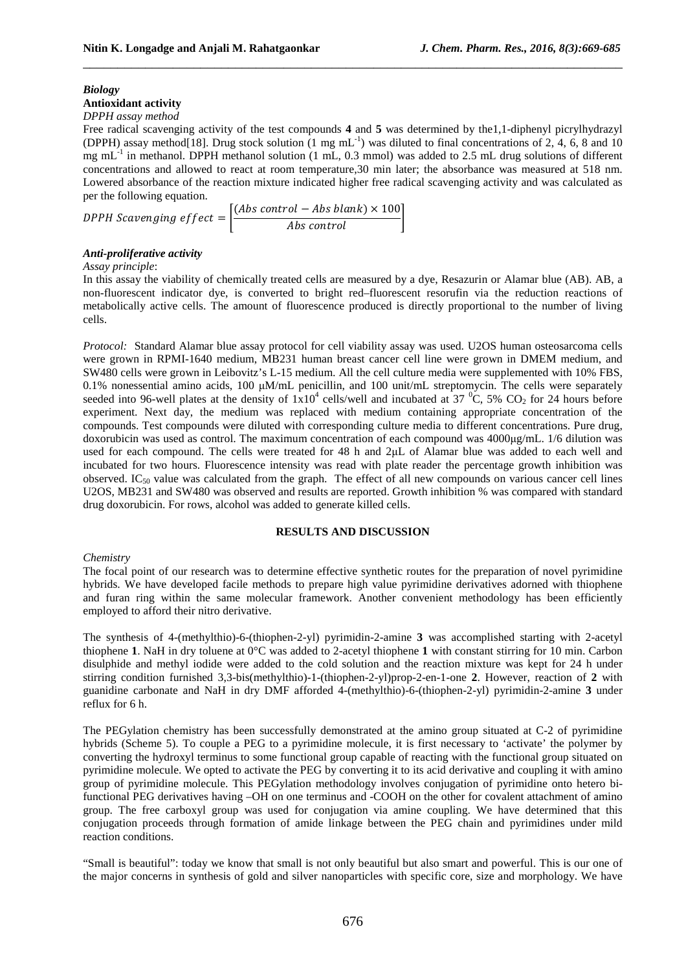# *Biology*

# **Antioxidant activity**

*DPPH assay method* 

Free radical scavenging activity of the test compounds **4** and **5** was determined by the1,1-diphenyl picrylhydrazyl (DPPH) assay method[18]. Drug stock solution (1 mg mL<sup>-1</sup>) was diluted to final concentrations of 2, 4, 6, 8 and 10 mg mL<sup>-1</sup> in methanol. DPPH methanol solution (1 mL, 0.3 mmol) was added to 2.5 mL drug solutions of different concentrations and allowed to react at room temperature,30 min later; the absorbance was measured at 518 nm. Lowered absorbance of the reaction mixture indicated higher free radical scavenging activity and was calculated as per the following equation.

\_\_\_\_\_\_\_\_\_\_\_\_\_\_\_\_\_\_\_\_\_\_\_\_\_\_\_\_\_\_\_\_\_\_\_\_\_\_\_\_\_\_\_\_\_\_\_\_\_\_\_\_\_\_\_\_\_\_\_\_\_\_\_\_\_\_\_\_\_\_\_\_\_\_\_\_\_\_

DPPH Scavenging effect  $=\left|\frac{(Abs\ control - Abs\ blank) \times 100}{Abs\ control}\right|$  $\boxed{Abs\ control}$ 

### *Anti-proliferative activity*

### *Assay principle*:

In this assay the viability of chemically treated cells are measured by a dye, Resazurin or Alamar blue (AB). AB, a non-fluorescent indicator dye, is converted to bright red–fluorescent resorufin via the reduction reactions of metabolically active cells. The amount of fluorescence produced is directly proportional to the number of living cells.

*Protocol:* Standard Alamar blue assay protocol for cell viability assay was used. U2OS human osteosarcoma cells were grown in RPMI-1640 medium, MB231 human breast cancer cell line were grown in DMEM medium, and SW480 cells were grown in Leibovitz's L-15 medium. All the cell culture media were supplemented with 10% FBS, 0.1% nonessential amino acids, 100 µM/mL penicillin, and 100 unit/mL streptomycin. The cells were separately seeded into 96-well plates at the density of  $1x10^4$  cells/well and incubated at 37  $^0C$ , 5% CO<sub>2</sub> for 24 hours before experiment. Next day, the medium was replaced with medium containing appropriate concentration of the compounds. Test compounds were diluted with corresponding culture media to different concentrations. Pure drug, doxorubicin was used as control. The maximum concentration of each compound was 4000µg/mL. 1/6 dilution was used for each compound. The cells were treated for 48 h and 2µL of Alamar blue was added to each well and incubated for two hours. Fluorescence intensity was read with plate reader the percentage growth inhibition was observed. IC<sub>50</sub> value was calculated from the graph. The effect of all new compounds on various cancer cell lines U2OS, MB231 and SW480 was observed and results are reported. Growth inhibition % was compared with standard drug doxorubicin. For rows, alcohol was added to generate killed cells.

### **RESULTS AND DISCUSSION**

### *Chemistry*

The focal point of our research was to determine effective synthetic routes for the preparation of novel pyrimidine hybrids. We have developed facile methods to prepare high value pyrimidine derivatives adorned with thiophene and furan ring within the same molecular framework. Another convenient methodology has been efficiently employed to afford their nitro derivative.

The synthesis of 4-(methylthio)-6-(thiophen-2-yl) pyrimidin-2-amine **3** was accomplished starting with 2-acetyl thiophene **1**. NaH in dry toluene at 0°C was added to 2-acetyl thiophene **1** with constant stirring for 10 min. Carbon disulphide and methyl iodide were added to the cold solution and the reaction mixture was kept for 24 h under stirring condition furnished 3,3-bis(methylthio)-1-(thiophen-2-yl)prop-2-en-1-one **2**. However, reaction of **2** with guanidine carbonate and NaH in dry DMF afforded 4-(methylthio)-6-(thiophen-2-yl) pyrimidin-2-amine **3** under reflux for 6 h.

The PEGylation chemistry has been successfully demonstrated at the amino group situated at C-2 of pyrimidine hybrids (Scheme 5). To couple a PEG to a pyrimidine molecule, it is first necessary to 'activate' the polymer by converting the hydroxyl terminus to some functional group capable of reacting with the functional group situated on pyrimidine molecule. We opted to activate the PEG by converting it to its acid derivative and coupling it with amino group of pyrimidine molecule. This PEGylation methodology involves conjugation of pyrimidine onto hetero bifunctional PEG derivatives having –OH on one terminus and -COOH on the other for covalent attachment of amino group. The free carboxyl group was used for conjugation via amine coupling. We have determined that this conjugation proceeds through formation of amide linkage between the PEG chain and pyrimidines under mild reaction conditions.

"Small is beautiful": today we know that small is not only beautiful but also smart and powerful. This is our one of the major concerns in synthesis of gold and silver nanoparticles with specific core, size and morphology. We have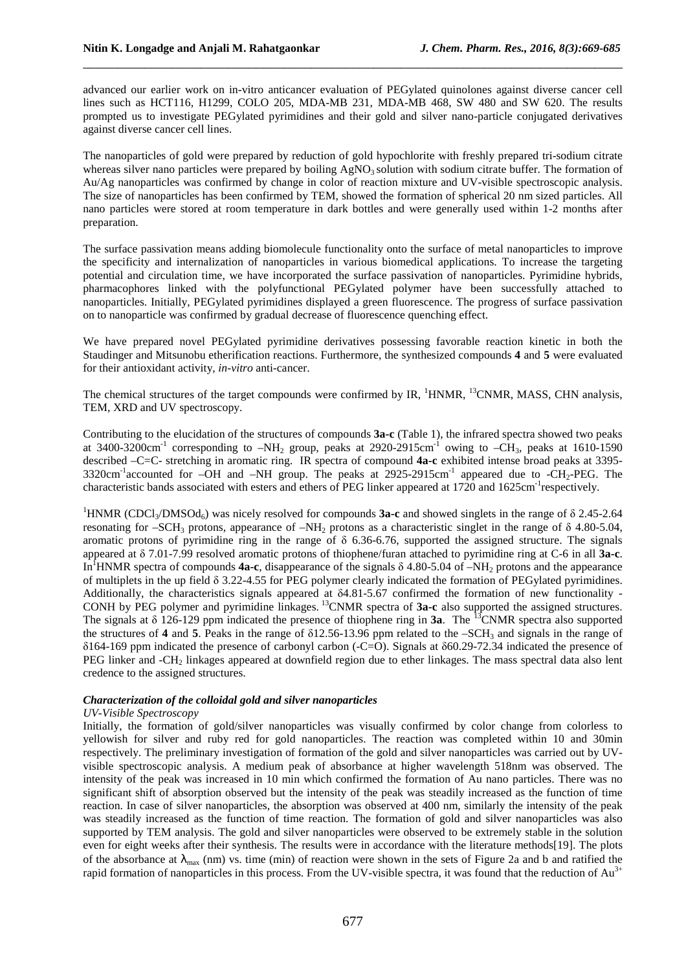advanced our earlier work on in-vitro anticancer evaluation of PEGylated quinolones against diverse cancer cell lines such as HCT116, H1299, COLO 205, MDA-MB 231, MDA-MB 468, SW 480 and SW 620. The results prompted us to investigate PEGylated pyrimidines and their gold and silver nano-particle conjugated derivatives against diverse cancer cell lines.

\_\_\_\_\_\_\_\_\_\_\_\_\_\_\_\_\_\_\_\_\_\_\_\_\_\_\_\_\_\_\_\_\_\_\_\_\_\_\_\_\_\_\_\_\_\_\_\_\_\_\_\_\_\_\_\_\_\_\_\_\_\_\_\_\_\_\_\_\_\_\_\_\_\_\_\_\_\_

The nanoparticles of gold were prepared by reduction of gold hypochlorite with freshly prepared tri-sodium citrate whereas silver nano particles were prepared by boiling  $AgNO<sub>3</sub>$  solution with sodium citrate buffer. The formation of Au/Ag nanoparticles was confirmed by change in color of reaction mixture and UV-visible spectroscopic analysis. The size of nanoparticles has been confirmed by TEM, showed the formation of spherical 20 nm sized particles. All nano particles were stored at room temperature in dark bottles and were generally used within 1-2 months after preparation.

The surface passivation means adding biomolecule functionality onto the surface of metal nanoparticles to improve the specificity and internalization of nanoparticles in various biomedical applications. To increase the targeting potential and circulation time, we have incorporated the surface passivation of nanoparticles. Pyrimidine hybrids, pharmacophores linked with the polyfunctional PEGylated polymer have been successfully attached to nanoparticles. Initially, PEGylated pyrimidines displayed a green fluorescence. The progress of surface passivation on to nanoparticle was confirmed by gradual decrease of fluorescence quenching effect.

We have prepared novel PEGylated pyrimidine derivatives possessing favorable reaction kinetic in both the Staudinger and Mitsunobu etherification reactions. Furthermore, the synthesized compounds **4** and **5** were evaluated for their antioxidant activity, *in-vitro* anti-cancer.

The chemical structures of the target compounds were confirmed by IR,  $^1$ HNMR,  $^{13}$ CNMR, MASS, CHN analysis, TEM, XRD and UV spectroscopy.

Contributing to the elucidation of the structures of compounds **3a-c** (Table 1), the infrared spectra showed two peaks at 3400-3200cm<sup>-1</sup> corresponding to  $-NH_2$  group, peaks at 2920-2915cm<sup>-1</sup> owing to  $-CH_3$ , peaks at 1610-1590 described –C=C- stretching in aromatic ring. IR spectra of compound **4a-c** exhibited intense broad peaks at 3395- 3320cm<sup>-1</sup>accounted for –OH and –NH group. The peaks at 2925-2915cm<sup>-1</sup> appeared due to -CH<sub>2</sub>-PEG. The characteristic bands associated with esters and ethers of PEG linker appeared at 1720 and 1625cm-1respectively.

<sup>1</sup>HNMR (CDCl<sub>3</sub>/DMSOd<sub>6</sub>) was nicely resolved for compounds **3a-c** and showed singlets in the range of δ 2.45-2.64 resonating for –SCH<sub>3</sub> protons, appearance of –NH<sub>2</sub> protons as a characteristic singlet in the range of  $\delta$  4.80-5.04, aromatic protons of pyrimidine ring in the range of  $\delta$  6.36-6.76, supported the assigned structure. The signals appeared at δ 7.01-7.99 resolved aromatic protons of thiophene/furan attached to pyrimidine ring at C-6 in all **3a-c**. In<sup>1</sup>HNMR spectra of compounds **4a-c**, disappearance of the signals  $\delta$  4.80-5.04 of –NH<sub>2</sub> protons and the appearance of multiplets in the up field δ 3.22-4.55 for PEG polymer clearly indicated the formation of PEGylated pyrimidines. Additionally, the characteristics signals appeared at δ4.81-5.67 confirmed the formation of new functionality - CONH by PEG polymer and pyrimidine linkages.<sup>13</sup>CNMR spectra of **3a-c** also supported the assigned structures. The signals at  $\delta$  126-129 ppm indicated the presence of thiophene ring in **3a**. The <sup>13</sup>CNMR spectra also supported the structures of **4** and **5**. Peaks in the range of  $\delta$ 12.56-13.96 ppm related to the –SCH<sub>3</sub> and signals in the range of δ164-169 ppm indicated the presence of carbonyl carbon (-C=O). Signals at δ60.29-72.34 indicated the presence of PEG linker and -CH<sub>2</sub> linkages appeared at downfield region due to ether linkages. The mass spectral data also lent credence to the assigned structures.

### *Characterization of the colloidal gold and silver nanoparticles*

### *UV-Visible Spectroscopy*

Initially, the formation of gold/silver nanoparticles was visually confirmed by color change from colorless to yellowish for silver and ruby red for gold nanoparticles. The reaction was completed within 10 and 30min respectively. The preliminary investigation of formation of the gold and silver nanoparticles was carried out by UVvisible spectroscopic analysis. A medium peak of absorbance at higher wavelength 518nm was observed. The intensity of the peak was increased in 10 min which confirmed the formation of Au nano particles. There was no significant shift of absorption observed but the intensity of the peak was steadily increased as the function of time reaction. In case of silver nanoparticles, the absorption was observed at 400 nm, similarly the intensity of the peak was steadily increased as the function of time reaction. The formation of gold and silver nanoparticles was also supported by TEM analysis. The gold and silver nanoparticles were observed to be extremely stable in the solution even for eight weeks after their synthesis. The results were in accordance with the literature methods[19]. The plots of the absorbance at  $\lambda_{\text{max}}$  (nm) vs. time (min) of reaction were shown in the sets of Figure 2a and b and ratified the rapid formation of nanoparticles in this process. From the UV-visible spectra, it was found that the reduction of Au<sup>3+</sup>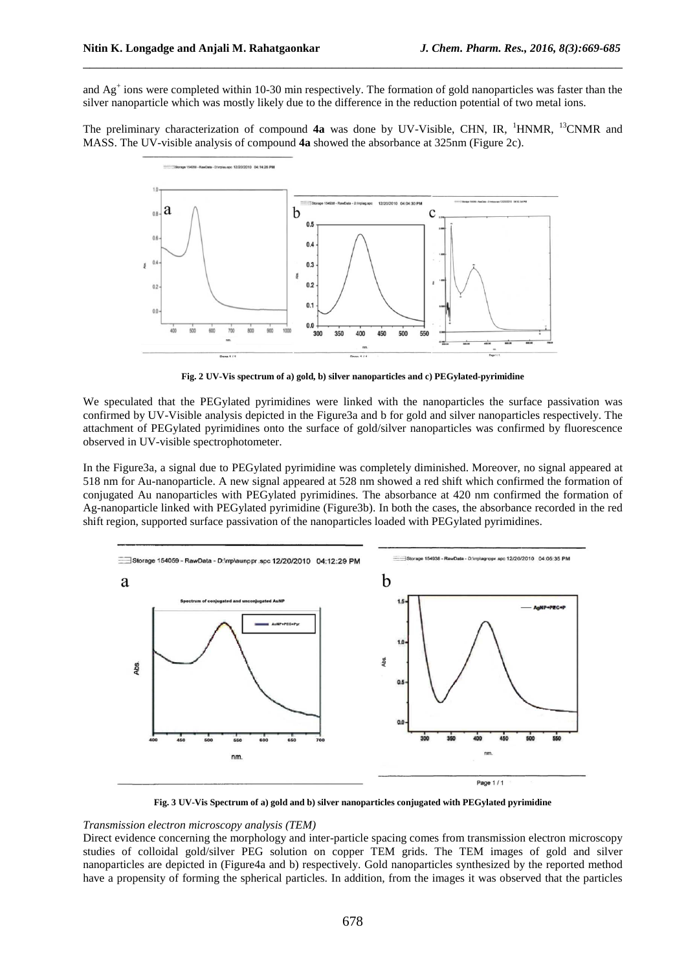and  $Ag<sup>+</sup>$  ions were completed within 10-30 min respectively. The formation of gold nanoparticles was faster than the silver nanoparticle which was mostly likely due to the difference in the reduction potential of two metal ions.

\_\_\_\_\_\_\_\_\_\_\_\_\_\_\_\_\_\_\_\_\_\_\_\_\_\_\_\_\_\_\_\_\_\_\_\_\_\_\_\_\_\_\_\_\_\_\_\_\_\_\_\_\_\_\_\_\_\_\_\_\_\_\_\_\_\_\_\_\_\_\_\_\_\_\_\_\_\_

The preliminary characterization of compound **4a** was done by UV-Visible, CHN, IR, <sup>1</sup>HNMR, <sup>13</sup>CNMR and MASS. The UV-visible analysis of compound **4a** showed the absorbance at 325nm (Figure 2c).



**Fig. 2 UV-Vis spectrum of a) gold, b) silver nanoparticles and c) PEGylated-pyrimidine** 

We speculated that the PEGylated pyrimidines were linked with the nanoparticles the surface passivation was confirmed by UV-Visible analysis depicted in the Figure3a and b for gold and silver nanoparticles respectively. The attachment of PEGylated pyrimidines onto the surface of gold/silver nanoparticles was confirmed by fluorescence observed in UV-visible spectrophotometer.

In the Figure3a, a signal due to PEGylated pyrimidine was completely diminished. Moreover, no signal appeared at 518 nm for Au-nanoparticle. A new signal appeared at 528 nm showed a red shift which confirmed the formation of conjugated Au nanoparticles with PEGylated pyrimidines. The absorbance at 420 nm confirmed the formation of Ag-nanoparticle linked with PEGylated pyrimidine (Figure3b). In both the cases, the absorbance recorded in the red shift region, supported surface passivation of the nanoparticles loaded with PEGylated pyrimidines.



**Fig. 3 UV-Vis Spectrum of a) gold and b) silver nanoparticles conjugated with PEGylated pyrimidine** 

### *Transmission electron microscopy analysis (TEM)*

Direct evidence concerning the morphology and inter-particle spacing comes from transmission electron microscopy studies of colloidal gold/silver PEG solution on copper TEM grids. The TEM images of gold and silver nanoparticles are depicted in (Figure4a and b) respectively. Gold nanoparticles synthesized by the reported method have a propensity of forming the spherical particles. In addition, from the images it was observed that the particles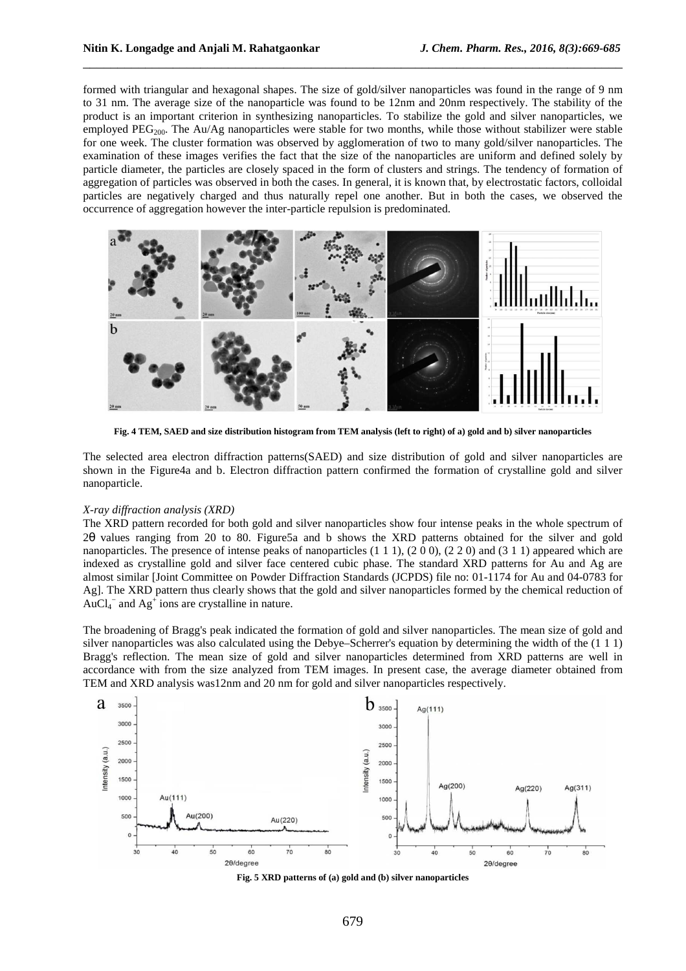formed with triangular and hexagonal shapes. The size of gold/silver nanoparticles was found in the range of 9 nm to 31 nm. The average size of the nanoparticle was found to be 12nm and 20nm respectively. The stability of the product is an important criterion in synthesizing nanoparticles. To stabilize the gold and silver nanoparticles, we employed PEG<sub>200</sub>. The Au/Ag nanoparticles were stable for two months, while those without stabilizer were stable for one week. The cluster formation was observed by agglomeration of two to many gold/silver nanoparticles. The examination of these images verifies the fact that the size of the nanoparticles are uniform and defined solely by particle diameter, the particles are closely spaced in the form of clusters and strings. The tendency of formation of aggregation of particles was observed in both the cases. In general, it is known that, by electrostatic factors, colloidal particles are negatively charged and thus naturally repel one another. But in both the cases, we observed the occurrence of aggregation however the inter-particle repulsion is predominated.

\_\_\_\_\_\_\_\_\_\_\_\_\_\_\_\_\_\_\_\_\_\_\_\_\_\_\_\_\_\_\_\_\_\_\_\_\_\_\_\_\_\_\_\_\_\_\_\_\_\_\_\_\_\_\_\_\_\_\_\_\_\_\_\_\_\_\_\_\_\_\_\_\_\_\_\_\_\_



**Fig. 4 TEM, SAED and size distribution histogram from TEM analysis (left to right) of a) gold and b) silver nanoparticles** 

The selected area electron diffraction patterns(SAED) and size distribution of gold and silver nanoparticles are shown in the Figure4a and b. Electron diffraction pattern confirmed the formation of crystalline gold and silver nanoparticle.

### *X-ray diffraction analysis (XRD)*

The XRD pattern recorded for both gold and silver nanoparticles show four intense peaks in the whole spectrum of 2θ values ranging from 20 to 80. Figure5a and b shows the XRD patterns obtained for the silver and gold nanoparticles. The presence of intense peaks of nanoparticles  $(1\ 1\ 1)$ ,  $(2\ 0\ 0)$ ,  $(2\ 2\ 0)$  and  $(3\ 1\ 1)$  appeared which are indexed as crystalline gold and silver face centered cubic phase. The standard XRD patterns for Au and Ag are almost similar [Joint Committee on Powder Diffraction Standards (JCPDS) file no: 01-1174 for Au and 04-0783 for Ag]. The XRD pattern thus clearly shows that the gold and silver nanoparticles formed by the chemical reduction of AuCl<sub>4</sub><sup> $-$ </sup> and Ag<sup> $+$ </sup> ions are crystalline in nature.

The broadening of Bragg's peak indicated the formation of gold and silver nanoparticles. The mean size of gold and silver nanoparticles was also calculated using the Debye–Scherrer's equation by determining the width of the (1 1 1) Bragg's reflection. The mean size of gold and silver nanoparticles determined from XRD patterns are well in accordance with from the size analyzed from TEM images. In present case, the average diameter obtained from TEM and XRD analysis was12nm and 20 nm for gold and silver nanoparticles respectively.



**Fig. 5 XRD patterns of (a) gold and (b) silver nanoparticles**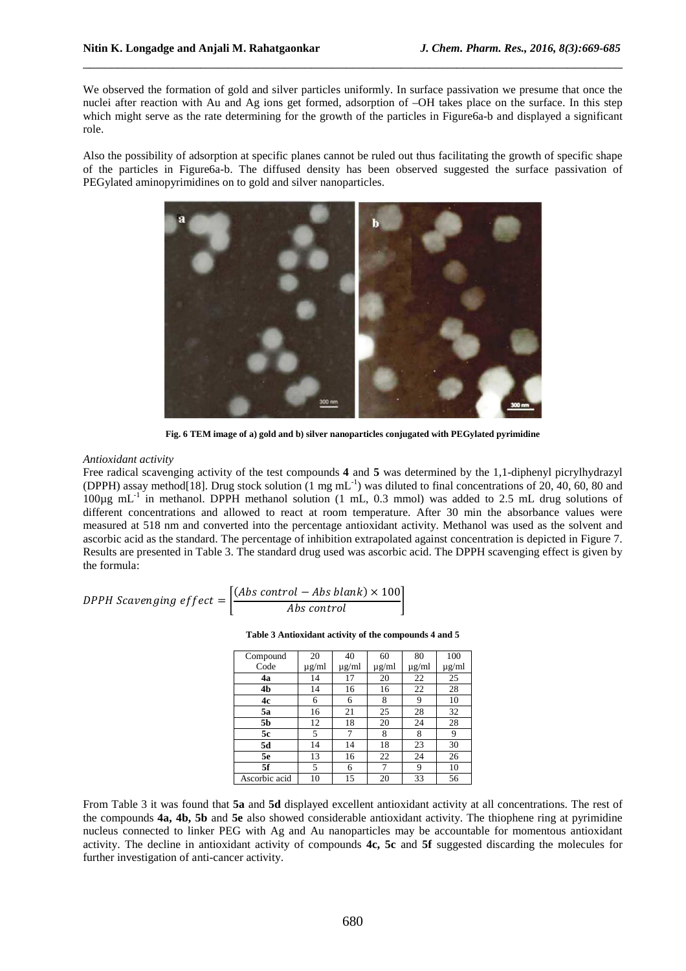We observed the formation of gold and silver particles uniformly. In surface passivation we presume that once the nuclei after reaction with Au and Ag ions get formed, adsorption of –OH takes place on the surface. In this step which might serve as the rate determining for the growth of the particles in Figure6a-b and displayed a significant role.

\_\_\_\_\_\_\_\_\_\_\_\_\_\_\_\_\_\_\_\_\_\_\_\_\_\_\_\_\_\_\_\_\_\_\_\_\_\_\_\_\_\_\_\_\_\_\_\_\_\_\_\_\_\_\_\_\_\_\_\_\_\_\_\_\_\_\_\_\_\_\_\_\_\_\_\_\_\_

Also the possibility of adsorption at specific planes cannot be ruled out thus facilitating the growth of specific shape of the particles in Figure6a-b. The diffused density has been observed suggested the surface passivation of PEGylated aminopyrimidines on to gold and silver nanoparticles.



**Fig. 6 TEM image of a) gold and b) silver nanoparticles conjugated with PEGylated pyrimidine** 

### *Antioxidant activity*

Free radical scavenging activity of the test compounds **4** and **5** was determined by the 1,1-diphenyl picrylhydrazyl (DPPH) assay method[18]. Drug stock solution (1 mg mL-1) was diluted to final concentrations of 20, 40, 60, 80 and 100µg mL-1 in methanol. DPPH methanol solution (1 mL, 0.3 mmol) was added to 2.5 mL drug solutions of different concentrations and allowed to react at room temperature. After 30 min the absorbance values were measured at 518 nm and converted into the percentage antioxidant activity. Methanol was used as the solvent and ascorbic acid as the standard. The percentage of inhibition extrapolated against concentration is depicted in Figure 7. Results are presented in Table 3. The standard drug used was ascorbic acid. The DPPH scavenging effect is given by the formula:

$$
DPPH Scavending effect = \left[\frac{(Abs\ control - Abs\ blank) \times 100}{Abs\ control}\right]
$$

**Table 3 Antioxidant activity of the compounds 4 and 5** 

| Compound       | 20         | 40         | 60                                  | 80         | 100                                 |
|----------------|------------|------------|-------------------------------------|------------|-------------------------------------|
| Code           | $\mu$ g/ml | $\mu$ g/ml | $\underline{\mu}\,\underline{g}/ml$ | $\mu$ g/ml | $\underline{\mu}\,\underline{g}/ml$ |
| 4a             | 14         | 17         | 20                                  | 22         | 25                                  |
| 4 <sub>b</sub> | 14         | 16         | 16                                  | 22         | 28                                  |
| 4c             | 6          | 6          | 8                                   | 9          | 10                                  |
| 5a             | 16         | 21         | 25                                  | 28         | 32                                  |
| 5b             | 12         | 18         | 20                                  | 24         | 28                                  |
| 5c             | 5          | 7          | 8                                   | 8          | 9                                   |
| 5d             | 14         | 14         | 18                                  | 23         | 30                                  |
| 5e             | 13         | 16         | 22                                  | 24         | 26                                  |
| 5f             | 5          | 6          | 7                                   | 9          | 10                                  |
| Ascorbic acid  | 10         | 15         | 20                                  | 33         | 56                                  |

From Table 3 it was found that **5a** and **5d** displayed excellent antioxidant activity at all concentrations. The rest of the compounds **4a, 4b, 5b** and **5e** also showed considerable antioxidant activity. The thiophene ring at pyrimidine nucleus connected to linker PEG with Ag and Au nanoparticles may be accountable for momentous antioxidant activity. The decline in antioxidant activity of compounds **4c, 5c** and **5f** suggested discarding the molecules for further investigation of anti-cancer activity.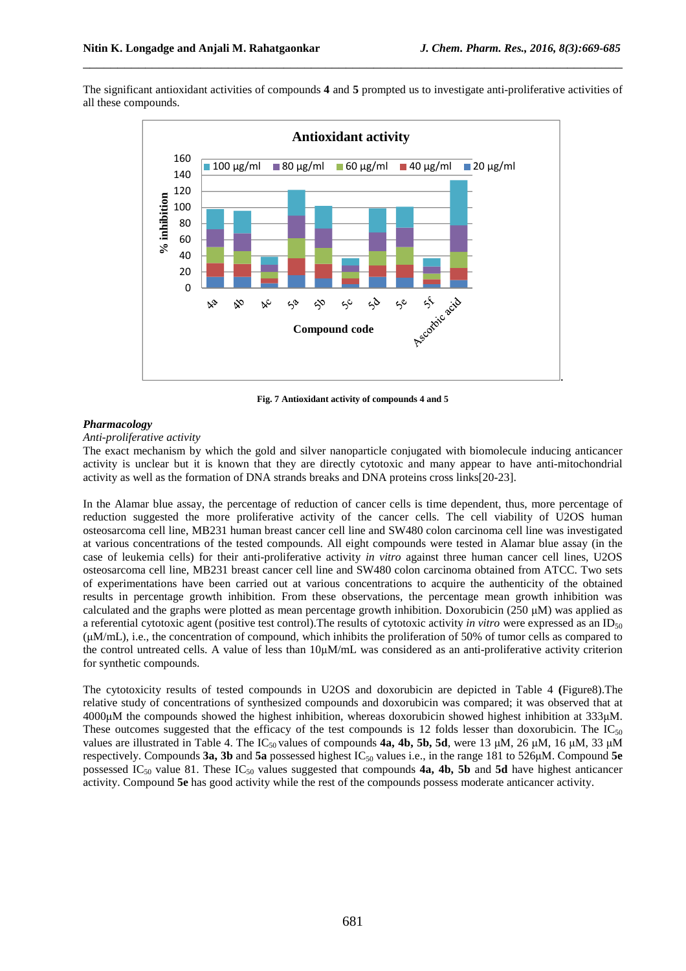The significant antioxidant activities of compounds **4** and **5** prompted us to investigate anti-proliferative activities of all these compounds.

\_\_\_\_\_\_\_\_\_\_\_\_\_\_\_\_\_\_\_\_\_\_\_\_\_\_\_\_\_\_\_\_\_\_\_\_\_\_\_\_\_\_\_\_\_\_\_\_\_\_\_\_\_\_\_\_\_\_\_\_\_\_\_\_\_\_\_\_\_\_\_\_\_\_\_\_\_\_



**Fig. 7 Antioxidant activity of compounds 4 and 5** 

### *Pharmacology*

*Anti-proliferative activity* 

The exact mechanism by which the gold and silver nanoparticle conjugated with biomolecule inducing anticancer activity is unclear but it is known that they are directly cytotoxic and many appear to have anti-mitochondrial activity as well as the formation of DNA strands breaks and DNA proteins cross links[20-23].

In the Alamar blue assay, the percentage of reduction of cancer cells is time dependent, thus, more percentage of reduction suggested the more proliferative activity of the cancer cells. The cell viability of U2OS human osteosarcoma cell line, MB231 human breast cancer cell line and SW480 colon carcinoma cell line was investigated at various concentrations of the tested compounds. All eight compounds were tested in Alamar blue assay (in the case of leukemia cells) for their anti-proliferative activity *in vitro* against three human cancer cell lines, U2OS osteosarcoma cell line, MB231 breast cancer cell line and SW480 colon carcinoma obtained from ATCC. Two sets of experimentations have been carried out at various concentrations to acquire the authenticity of the obtained results in percentage growth inhibition. From these observations, the percentage mean growth inhibition was calculated and the graphs were plotted as mean percentage growth inhibition. Doxorubicin (250  $\mu$ M) was applied as a referential cytotoxic agent (positive test control). The results of cytotoxic activity *in vitro* were expressed as an ID<sub>50</sub> (µM/mL), i.e., the concentration of compound, which inhibits the proliferation of 50% of tumor cells as compared to the control untreated cells. A value of less than 10µM/mL was considered as an anti-proliferative activity criterion for synthetic compounds.

The cytotoxicity results of tested compounds in U2OS and doxorubicin are depicted in Table 4 **(**Figure8).The relative study of concentrations of synthesized compounds and doxorubicin was compared; it was observed that at 4000µM the compounds showed the highest inhibition, whereas doxorubicin showed highest inhibition at 333µM. These outcomes suggested that the efficacy of the test compounds is 12 folds lesser than doxorubicin. The  $IC_{50}$ values are illustrated in Table 4. The IC<sub>50</sub> values of compounds **4a, 4b, 5b, 5d**, were 13  $\mu$ M, 26  $\mu$ M, 16  $\mu$ M, 33  $\mu$ M respectively. Compounds **3a, 3b** and **5a** possessed highest  $IC_{50}$  values i.e., in the range 181 to 526 $\mu$ M. Compound **5e** possessed IC<sub>50</sub> value 81. These IC<sub>50</sub> values suggested that compounds **4a, 4b, 5b** and **5d** have highest anticancer activity. Compound **5e** has good activity while the rest of the compounds possess moderate anticancer activity.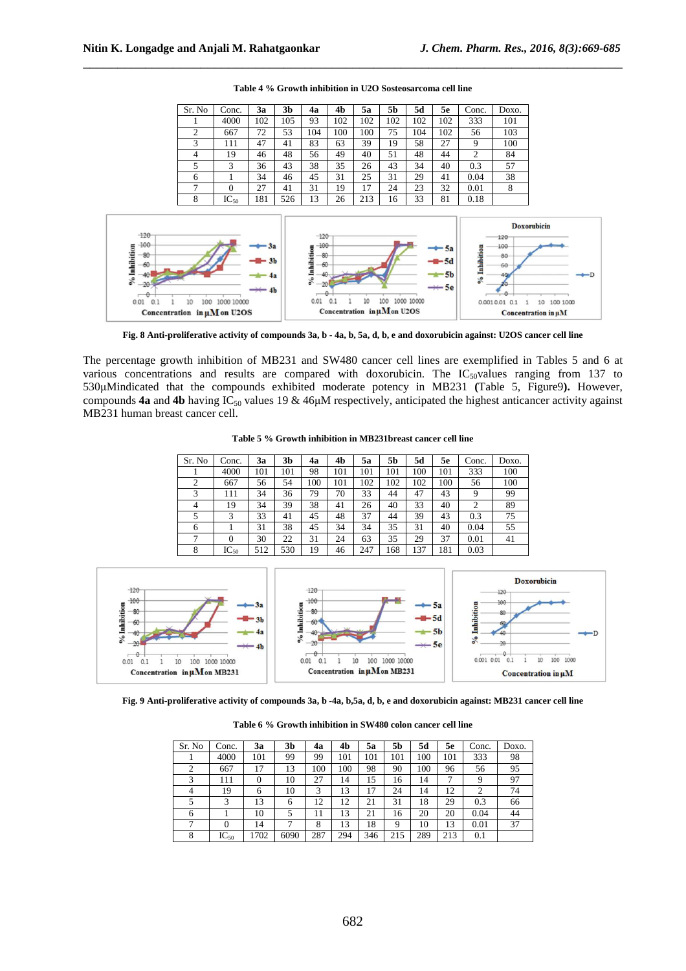| Sr. No | Conc.     | 3a  | 3b  | 4a  | 4b  | 5a  | 5b  | 5d  | 5e  | Conc. | Doxo. |
|--------|-----------|-----|-----|-----|-----|-----|-----|-----|-----|-------|-------|
|        | 4000      | 102 | 105 | 93  | 102 | 102 | 102 | 102 | 102 | 333   | 101   |
| 2      | 667       | 72  | 53  | 104 | 100 | 100 | 75  | 104 | 102 | 56    | 103   |
| 3      | 111       | 47  | 41  | 83  | 63  | 39  | 19  | 58  | 27  | 9     | 100   |
| 4      | 19        | 46  | 48  | 56  | 49  | 40  | 51  | 48  | 44  | 2     | 84    |
| 5      | 3         | 36  | 43  | 38  | 35  | 26  | 43  | 34  | 40  | 0.3   | 57    |
| 6      |           | 34  | 46  | 45  | 31  | 25  | 31  | 29  | 41  | 0.04  | 38    |
|        | $\Omega$  | 27  | 41  | 31  | 19  | 17  | 24  | 23  | 32  | 0.01  | 8     |
| 8      | $IC_{50}$ | 181 | 526 | 13  | 26  | 213 | 16  | 33  | 81  | 0.18  |       |

**Table 4 % Growth inhibition in U2O Sosteosarcoma cell line** 

\_\_\_\_\_\_\_\_\_\_\_\_\_\_\_\_\_\_\_\_\_\_\_\_\_\_\_\_\_\_\_\_\_\_\_\_\_\_\_\_\_\_\_\_\_\_\_\_\_\_\_\_\_\_\_\_\_\_\_\_\_\_\_\_\_\_\_\_\_\_\_\_\_\_\_\_\_\_



**Fig. 8 Anti-proliferative activity of compounds 3a, b - 4a, b, 5a, d, b, e and doxorubicin against: U2OS cancer cell line** 

The percentage growth inhibition of MB231 and SW480 cancer cell lines are exemplified in Tables 5 and 6 at various concentrations and results are compared with doxorubicin. The  $IC_{50}$ values ranging from 137 to 530µMindicated that the compounds exhibited moderate potency in MB231 **(**Table 5, Figure9**).** However, compounds **4a** and **4b** having IC<sub>50</sub> values 19 & 46 $\mu$ M respectively, anticipated the highest anticancer activity against MB231 human breast cancer cell.

**Table 5 % Growth inhibition in MB231breast cancer cell line** 

| Sr. No | Conc.     | 3a  | 3b  | 4a  | 4b  | 5a  | 5b  | 5d  | 5e  | Conc. | Doxo. |
|--------|-----------|-----|-----|-----|-----|-----|-----|-----|-----|-------|-------|
|        | 4000      | 101 | 101 | 98  | 101 | 101 | 101 | 100 | 101 | 333   | 100   |
| 2      | 667       | 56  | 54  | 100 | 101 | 102 | 102 | 102 | 100 | 56    | 100   |
| 3      | 111       | 34  | 36  | 79  | 70  | 33  | 44  | 47  | 43  | 9     | 99    |
| 4      | 19        | 34  | 39  | 38  | 41  | 26  | 40  | 33  | 40  | 2     | 89    |
| 5      | 3         | 33  | 41  | 45  | 48  | 37  | 44  | 39  | 43  | 0.3   | 75    |
| 6      |           | 31  | 38  | 45  | 34  | 34  | 35  | 31  | 40  | 0.04  | 55    |
|        | $\theta$  | 30  | 22  | 31  | 24  | 63  | 35  | 29  | 37  | 0.01  | 41    |
| 8      | $IC_{50}$ | 512 | 530 | 19  | 46  | 247 | 168 | .37 | 181 | 0.03  |       |



**Fig. 9 Anti-proliferative activity of compounds 3a, b -4a, b,5a, d, b, e and doxorubicin against: MB231 cancer cell line** 

**Table 6 % Growth inhibition in SW480 colon cancer cell line** 

| Sr. No         | Conc.     | 3a       | 3b   | 4a  | 4b  | 5a  | 5b  | 5d  | 5e  | Conc. | Doxo. |
|----------------|-----------|----------|------|-----|-----|-----|-----|-----|-----|-------|-------|
|                | 4000      | 101      | 99   | 99  | 101 | 101 | 101 | 100 | 101 | 333   | 98    |
| $\overline{2}$ | 667       | 17       | 13   | 100 | 100 | 98  | 90  | 100 | 96  | 56    | 95    |
| 3              | 111       | $\theta$ | 10   | 27  | 14  | 15  | 16  | 14  | 7   | 9     | 97    |
| $\overline{4}$ | 19        | 6        | 10   | 3   | 13  | 17  | 24  | 14  | 12  | 2     | 74    |
| 5              | 3         | 13       | 6    | 12  | 12  | 21  | 31  | 18  | 29  | 0.3   | 66    |
| 6              |           | 10       | 5    | 11  | 13  | 21  | 16  | 20  | 20  | 0.04  | 44    |
| 7              | 0         | 14       |      | 8   | 13  | 18  | 9   | 10  | 13  | 0.01  | 37    |
| 8              | $IC_{50}$ | 1702     | 6090 | 287 | 294 | 346 | 215 | 289 | 213 | 0.1   |       |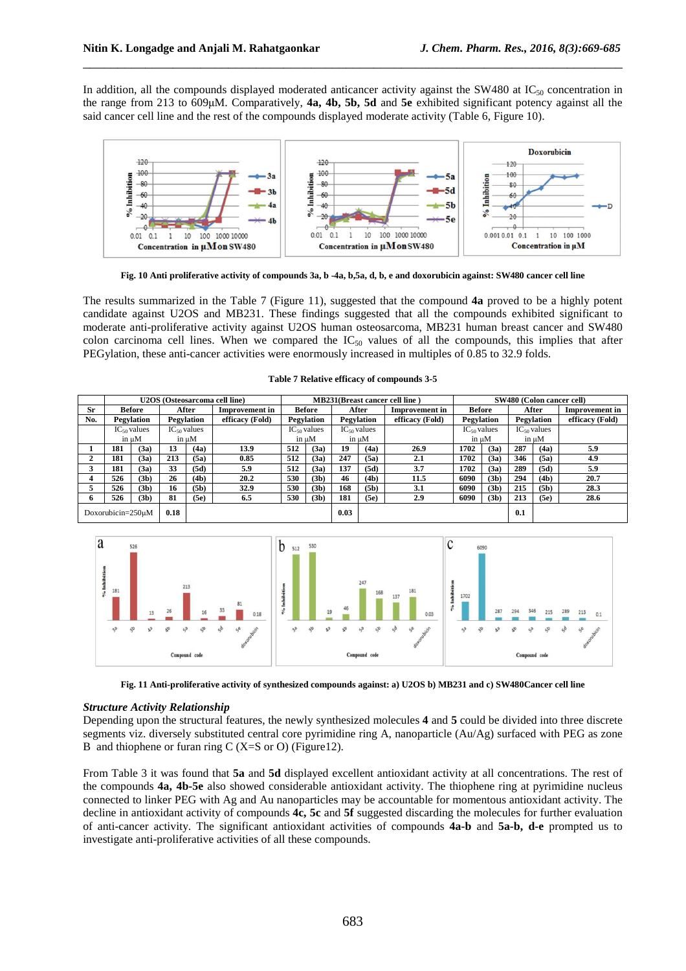In addition, all the compounds displayed moderated anticancer activity against the SW480 at  $IC_{50}$  concentration in the range from 213 to 609µM. Comparatively, **4a, 4b, 5b, 5d** and **5e** exhibited significant potency against all the said cancer cell line and the rest of the compounds displayed moderate activity (Table 6, Figure 10).

\_\_\_\_\_\_\_\_\_\_\_\_\_\_\_\_\_\_\_\_\_\_\_\_\_\_\_\_\_\_\_\_\_\_\_\_\_\_\_\_\_\_\_\_\_\_\_\_\_\_\_\_\_\_\_\_\_\_\_\_\_\_\_\_\_\_\_\_\_\_\_\_\_\_\_\_\_\_



**Fig. 10 Anti proliferative activity of compounds 3a, b -4a, b,5a, d, b, e and doxorubicin against: SW480 cancer cell line** 

The results summarized in the Table 7 (Figure 11), suggested that the compound **4a** proved to be a highly potent candidate against U2OS and MB231. These findings suggested that all the compounds exhibited significant to moderate anti-proliferative activity against U2OS human osteosarcoma, MB231 human breast cancer and SW480 colon carcinoma cell lines. When we compared the  $IC_{50}$  values of all the compounds, this implies that after PEGylation, these anti-cancer activities were enormously increased in multiples of 0.85 to 32.9 folds.

|     |                   |                   |      |                   | U2OS (Osteosarcoma cell line) | <b>MB231(Breast cancer cell line)</b> |                   |            |                   |                       | SW480 (Colon cancer cell) |                   |       |                   |                       |
|-----|-------------------|-------------------|------|-------------------|-------------------------------|---------------------------------------|-------------------|------------|-------------------|-----------------------|---------------------------|-------------------|-------|-------------------|-----------------------|
| Sr  |                   | <b>Before</b>     |      | After             | <b>Improvement in</b>         | <b>Before</b>                         |                   |            | After             | <b>Improvement</b> in | <b>Before</b>             |                   | After |                   | <b>Improvement</b> in |
| No. |                   | Pegylation        |      | Pegylation        | efficacy (Fold)               |                                       | <b>Pegylation</b> | Pegylation |                   | efficacy (Fold)       | Pegylation                |                   |       | Pegylation        | efficacy (Fold)       |
|     |                   | $IC_{50}$ values  |      | $IC_{50}$ values  |                               |                                       | $IC_{50}$ values  |            | $IC_{50}$ values  |                       | $IC_{50}$ values          |                   |       | $IC_{50}$ values  |                       |
|     |                   | in uM             |      | in uM             |                               |                                       | in µM             |            | in µM             |                       |                           | in µM             |       | in µM             |                       |
|     | 181               | (3a)              | 13   | (4a)              | 13.9                          | 512                                   | (3a)              | 19         | (4a)              | 26.9                  | 1702                      | (3a)              | 287   | (4a)              | 5.9                   |
|     | 181               | (3a)              | 213  | (5a)              | 0.85                          | 512                                   | (3a)              | 247        | (5a)              | 2.1                   | 1702                      | (3a)              | 346   | (5a)              | 4.9                   |
|     | 181               | (3a)              | 33   | (5d)              | 5.9                           | 512                                   | (3a)              | 137        | (5d)              | 3.7                   | 1702                      | (3a)              | 289   | (5d)              | 5.9                   |
|     | 526               | (3 <sub>b</sub> ) | 26   | (4b)              | 20.2                          | 530                                   | (3b)              | 46         | (4b)              | 11.5                  | 6090                      | (3 <sub>b</sub> ) | 294   | (4b)              | 20.7                  |
|     | 526               | (3 <sub>b</sub> ) | 16   | (5 <sub>b</sub> ) | 32.9                          | 530                                   | (3b)              | 168        | (5 <sub>b</sub> ) | 3.1                   | 6090                      | (3 <sub>b</sub> ) | 215   | (5 <sub>b</sub> ) | 28.3                  |
| 6.  | 526               | (3 <sub>b</sub> ) | 81   | (5e)              | 6.5                           | 530                                   | (3b)              | 181        | (5e)              | 2.9                   | 6090                      | (3b)              | 213   | (5e)              | 28.6                  |
|     | Doxorubicin=250uM |                   | 0.18 |                   |                               |                                       |                   | 0.03       |                   |                       |                           |                   | 0.1   |                   |                       |

| Table 7 Relative efficacy of compounds 3-5 |  |  |  |  |  |  |
|--------------------------------------------|--|--|--|--|--|--|
|--------------------------------------------|--|--|--|--|--|--|



**Fig. 11 Anti-proliferative activity of synthesized compounds against: a) U2OS b) MB231 and c) SW480Cancer cell line** 

## *Structure Activity Relationship*

Depending upon the structural features, the newly synthesized molecules **4** and **5** could be divided into three discrete segments viz. diversely substituted central core pyrimidine ring A, nanoparticle (Au/Ag) surfaced with PEG as zone B and thiophene or furan ring C (X=S or O) (Figure 12).

From Table 3 it was found that **5a** and **5d** displayed excellent antioxidant activity at all concentrations. The rest of the compounds **4a, 4b-5e** also showed considerable antioxidant activity. The thiophene ring at pyrimidine nucleus connected to linker PEG with Ag and Au nanoparticles may be accountable for momentous antioxidant activity. The decline in antioxidant activity of compounds **4c, 5c** and **5f** suggested discarding the molecules for further evaluation of anti-cancer activity. The significant antioxidant activities of compounds **4a-b** and **5a-b, d-e** prompted us to investigate anti-proliferative activities of all these compounds.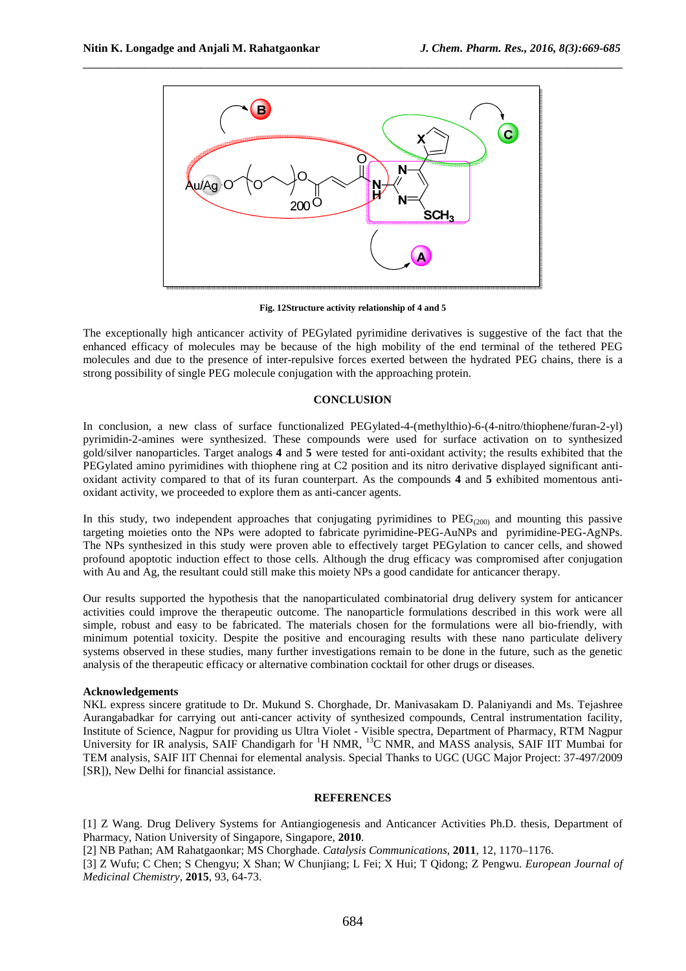

\_\_\_\_\_\_\_\_\_\_\_\_\_\_\_\_\_\_\_\_\_\_\_\_\_\_\_\_\_\_\_\_\_\_\_\_\_\_\_\_\_\_\_\_\_\_\_\_\_\_\_\_\_\_\_\_\_\_\_\_\_\_\_\_\_\_\_\_\_\_\_\_\_\_\_\_\_\_

**Fig. 12Structure activity relationship of 4 and 5** 

The exceptionally high anticancer activity of PEGylated pyrimidine derivatives is suggestive of the fact that the enhanced efficacy of molecules may be because of the high mobility of the end terminal of the tethered PEG molecules and due to the presence of inter-repulsive forces exerted between the hydrated PEG chains, there is a strong possibility of single PEG molecule conjugation with the approaching protein.

### **CONCLUSION**

In conclusion, a new class of surface functionalized PEGylated-4-(methylthio)-6-(4-nitro/thiophene/furan-2-yl) pyrimidin-2-amines were synthesized. These compounds were used for surface activation on to synthesized gold/silver nanoparticles. Target analogs **4** and **5** were tested for anti-oxidant activity; the results exhibited that the PEGylated amino pyrimidines with thiophene ring at C2 position and its nitro derivative displayed significant antioxidant activity compared to that of its furan counterpart. As the compounds **4** and **5** exhibited momentous antioxidant activity, we proceeded to explore them as anti-cancer agents.

In this study, two independent approaches that conjugating pyrimidines to  $PEG_{(200)}$  and mounting this passive targeting moieties onto the NPs were adopted to fabricate pyrimidine-PEG-AuNPs and pyrimidine-PEG-AgNPs. The NPs synthesized in this study were proven able to effectively target PEGylation to cancer cells, and showed profound apoptotic induction effect to those cells. Although the drug efficacy was compromised after conjugation with Au and Ag, the resultant could still make this moiety NPs a good candidate for anticancer therapy.

Our results supported the hypothesis that the nanoparticulated combinatorial drug delivery system for anticancer activities could improve the therapeutic outcome. The nanoparticle formulations described in this work were all simple, robust and easy to be fabricated. The materials chosen for the formulations were all bio-friendly, with minimum potential toxicity. Despite the positive and encouraging results with these nano particulate delivery systems observed in these studies, many further investigations remain to be done in the future, such as the genetic analysis of the therapeutic efficacy or alternative combination cocktail for other drugs or diseases.

### **Acknowledgements**

NKL express sincere gratitude to Dr. Mukund S. Chorghade, Dr. Manivasakam D. Palaniyandi and Ms. Tejashree Aurangabadkar for carrying out anti-cancer activity of synthesized compounds, Central instrumentation facility, Institute of Science, Nagpur for providing us Ultra Violet - Visible spectra, Department of Pharmacy, RTM Nagpur University for IR analysis, SAIF Chandigarh for <sup>1</sup>H NMR, <sup>13</sup>C NMR, and MASS analysis, SAIF IIT Mumbai for TEM analysis, SAIF IIT Chennai for elemental analysis. Special Thanks to UGC (UGC Major Project: 37-497/2009 [SR]), New Delhi for financial assistance.

### **REFERENCES**

[1] Z Wang. Drug Delivery Systems for Antiangiogenesis and Anticancer Activities Ph.D. thesis, Department of Pharmacy, Nation University of Singapore, Singapore, **2010**.

[2] NB Pathan; AM Rahatgaonkar; MS Chorghade. *Catalysis Communications*, **2011**, 12, 1170–1176.

[3] Z Wufu; C Chen; S Chengyu; X Shan; W Chunjiang; L Fei; X Hui; T Qidong; Z Pengwu. *European Journal of Medicinal Chemistry*, **2015**, 93, 64-73.